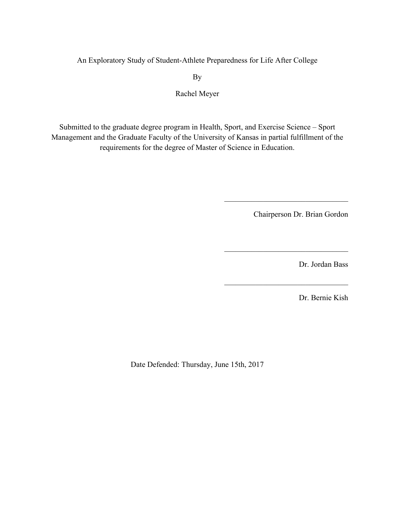An Exploratory Study of Student-Athlete Preparedness for Life After College

By

Rachel Meyer

Submitted to the graduate degree program in Health, Sport, and Exercise Science – Sport Management and the Graduate Faculty of the University of Kansas in partial fulfillment of the requirements for the degree of Master of Science in Education.

Chairperson Dr. Brian Gordon

 $\mathcal{L}_\text{max}$ 

 $\overline{\phantom{a}}$  , and the set of the set of the set of the set of the set of the set of the set of the set of the set of the set of the set of the set of the set of the set of the set of the set of the set of the set of the s

 $\overline{\phantom{a}}$  , and the set of the set of the set of the set of the set of the set of the set of the set of the set of the set of the set of the set of the set of the set of the set of the set of the set of the set of the s

Dr. Jordan Bass

Dr. Bernie Kish

Date Defended: Thursday, June 15th, 2017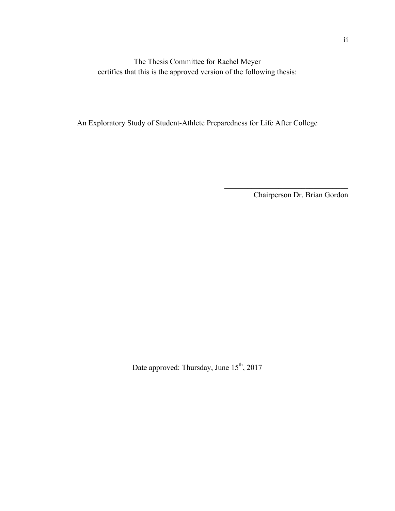The Thesis Committee for Rachel Meyer certifies that this is the approved version of the following thesis:

An Exploratory Study of Student-Athlete Preparedness for Life After College

Chairperson Dr. Brian Gordon

 $\mathcal{L}=\frac{1}{2}$  , where  $\mathcal{L}=\frac{1}{2}$  , where  $\mathcal{L}=\frac{1}{2}$ 

Date approved: Thursday, June  $15^{th}$ , 2017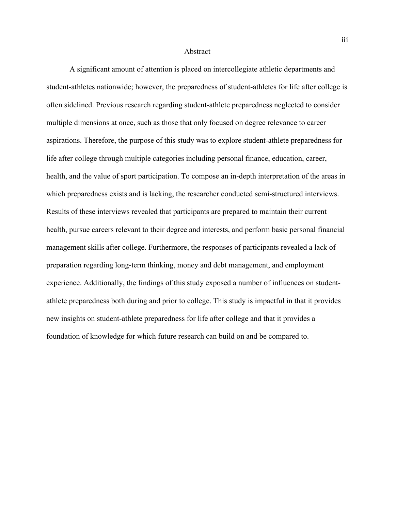#### Abstract

A significant amount of attention is placed on intercollegiate athletic departments and student-athletes nationwide; however, the preparedness of student-athletes for life after college is often sidelined. Previous research regarding student-athlete preparedness neglected to consider multiple dimensions at once, such as those that only focused on degree relevance to career aspirations. Therefore, the purpose of this study was to explore student-athlete preparedness for life after college through multiple categories including personal finance, education, career, health, and the value of sport participation. To compose an in-depth interpretation of the areas in which preparedness exists and is lacking, the researcher conducted semi-structured interviews. Results of these interviews revealed that participants are prepared to maintain their current health, pursue careers relevant to their degree and interests, and perform basic personal financial management skills after college. Furthermore, the responses of participants revealed a lack of preparation regarding long-term thinking, money and debt management, and employment experience. Additionally, the findings of this study exposed a number of influences on studentathlete preparedness both during and prior to college. This study is impactful in that it provides new insights on student-athlete preparedness for life after college and that it provides a foundation of knowledge for which future research can build on and be compared to.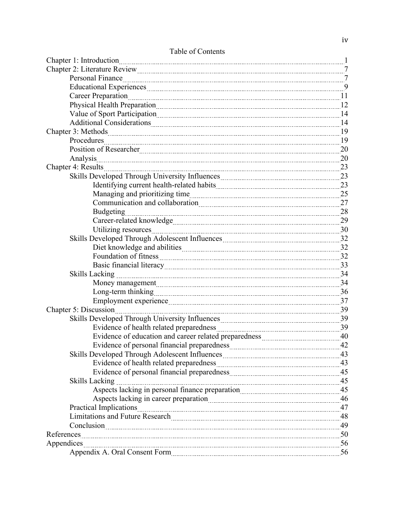| Personal Finance                                                                                                                                                                                                                     |    |
|--------------------------------------------------------------------------------------------------------------------------------------------------------------------------------------------------------------------------------------|----|
| Educational Experiences [11] District of the Second Structure of the Second Structure of the Second Structure (                                                                                                                      |    |
| Career Preparation 11                                                                                                                                                                                                                |    |
| Physical Health Preparation                                                                                                                                                                                                          | 12 |
| Value of Sport Participation 14                                                                                                                                                                                                      |    |
| Additional Considerations 14                                                                                                                                                                                                         |    |
| Chapter 3: Methods 2000 and 2000 and 2000 and 2000 and 2000 and 2000 and 2000 and 2000 and 2000 and 2000 and 2000 and 2000 and 2000 and 2000 and 2000 and 2000 and 2000 and 2000 and 2000 and 2000 and 2000 and 2000 and 2000        | 19 |
|                                                                                                                                                                                                                                      | 19 |
| Position of Researcher 20                                                                                                                                                                                                            |    |
| Analysis                                                                                                                                                                                                                             | 20 |
| Chapter 4: Results <u>Chapter 4: Results</u>                                                                                                                                                                                         | 23 |
| Skills Developed Through University Influences 23                                                                                                                                                                                    |    |
|                                                                                                                                                                                                                                      |    |
|                                                                                                                                                                                                                                      |    |
|                                                                                                                                                                                                                                      | 27 |
| <b>Budgeting</b>                                                                                                                                                                                                                     |    |
|                                                                                                                                                                                                                                      | 29 |
| Utilizing resources                                                                                                                                                                                                                  | 30 |
| Skills Developed Through Adolescent Influences Material Assembly 32                                                                                                                                                                  |    |
|                                                                                                                                                                                                                                      |    |
| Foundation of fitness <b>contained a contained a contained a contained a contained a contained a contained a contact of the set of the set of the set of the set of the set of the set of the set of the set of the set of the s</b> | 32 |
| Basic financial literacy 33                                                                                                                                                                                                          |    |
| <b>Skills Lacking</b>                                                                                                                                                                                                                |    |
| Money management                                                                                                                                                                                                                     | 34 |
| Long-term thinking 36                                                                                                                                                                                                                |    |
| Employment experience 37                                                                                                                                                                                                             |    |
| Chapter 5: Discussion <u>Chapter 5: Discussion</u>                                                                                                                                                                                   | 39 |
| Skills Developed Through University Influences 39                                                                                                                                                                                    |    |
|                                                                                                                                                                                                                                      |    |
|                                                                                                                                                                                                                                      | 40 |
|                                                                                                                                                                                                                                      |    |
| Skills Developed Through Adolescent Influences Material Assembly 13                                                                                                                                                                  |    |
|                                                                                                                                                                                                                                      |    |
| Evidence of personal financial preparedness 25 and 25                                                                                                                                                                                |    |
| <b>Skills Lacking</b><br>$\frac{45}{100}$                                                                                                                                                                                            |    |
| Aspects lacking in personal finance preparation 15 magnetic methods and the Aspects lacking in personal finance preparation                                                                                                          |    |
|                                                                                                                                                                                                                                      |    |
| Practical Implications 47                                                                                                                                                                                                            |    |
| Limitations and Future Research [11] March 2014 8 48                                                                                                                                                                                 |    |
| Conclusion 49                                                                                                                                                                                                                        |    |
| References                                                                                                                                                                                                                           |    |
| Appendices 56                                                                                                                                                                                                                        |    |
| Appendix A. Oral Consent Form Manuel Allen Strategies and Strategies Manuel Appendix A. Oral Consent Form                                                                                                                            |    |

# Table of Contents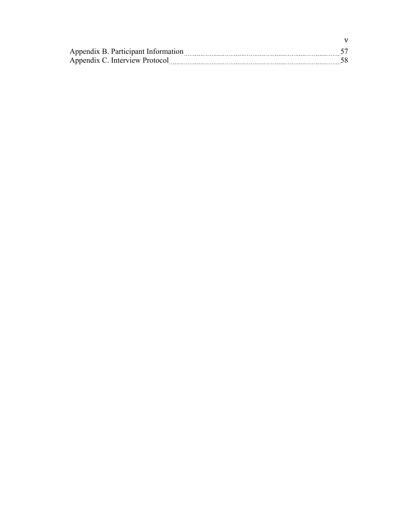| Appendix B. Participant Information |  |
|-------------------------------------|--|
| Appendix C. Interview Protocol      |  |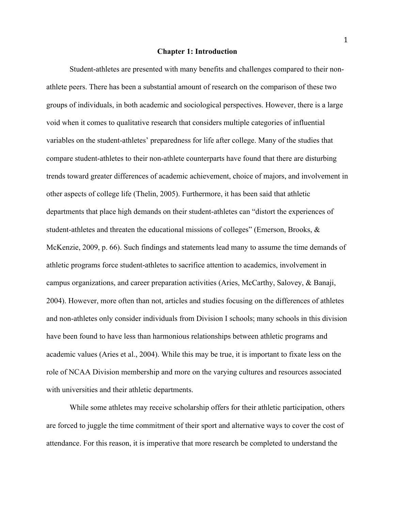#### **Chapter 1: Introduction**

Student-athletes are presented with many benefits and challenges compared to their nonathlete peers. There has been a substantial amount of research on the comparison of these two groups of individuals, in both academic and sociological perspectives. However, there is a large void when it comes to qualitative research that considers multiple categories of influential variables on the student-athletes' preparedness for life after college. Many of the studies that compare student-athletes to their non-athlete counterparts have found that there are disturbing trends toward greater differences of academic achievement, choice of majors, and involvement in other aspects of college life (Thelin, 2005). Furthermore, it has been said that athletic departments that place high demands on their student-athletes can "distort the experiences of student-athletes and threaten the educational missions of colleges" (Emerson, Brooks, & McKenzie, 2009, p. 66). Such findings and statements lead many to assume the time demands of athletic programs force student-athletes to sacrifice attention to academics, involvement in campus organizations, and career preparation activities (Aries, McCarthy, Salovey, & Banaji, 2004). However, more often than not, articles and studies focusing on the differences of athletes and non-athletes only consider individuals from Division I schools; many schools in this division have been found to have less than harmonious relationships between athletic programs and academic values (Aries et al., 2004). While this may be true, it is important to fixate less on the role of NCAA Division membership and more on the varying cultures and resources associated with universities and their athletic departments.

While some athletes may receive scholarship offers for their athletic participation, others are forced to juggle the time commitment of their sport and alternative ways to cover the cost of attendance. For this reason, it is imperative that more research be completed to understand the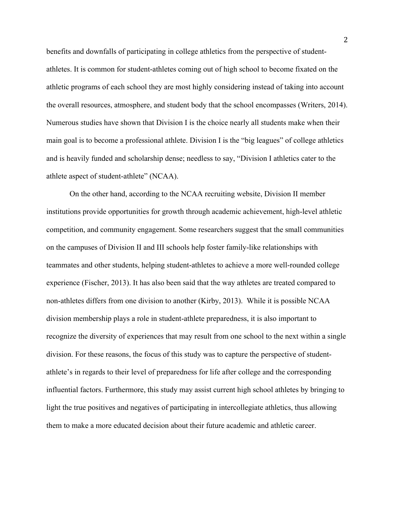benefits and downfalls of participating in college athletics from the perspective of studentathletes. It is common for student-athletes coming out of high school to become fixated on the athletic programs of each school they are most highly considering instead of taking into account the overall resources, atmosphere, and student body that the school encompasses (Writers, 2014). Numerous studies have shown that Division I is the choice nearly all students make when their main goal is to become a professional athlete. Division I is the "big leagues" of college athletics and is heavily funded and scholarship dense; needless to say, "Division I athletics cater to the athlete aspect of student-athlete" (NCAA).

On the other hand, according to the NCAA recruiting website, Division II member institutions provide opportunities for growth through academic achievement, high-level athletic competition, and community engagement. Some researchers suggest that the small communities on the campuses of Division II and III schools help foster family-like relationships with teammates and other students, helping student-athletes to achieve a more well-rounded college experience (Fischer, 2013). It has also been said that the way athletes are treated compared to non-athletes differs from one division to another (Kirby, 2013). While it is possible NCAA division membership plays a role in student-athlete preparedness, it is also important to recognize the diversity of experiences that may result from one school to the next within a single division. For these reasons, the focus of this study was to capture the perspective of studentathlete's in regards to their level of preparedness for life after college and the corresponding influential factors. Furthermore, this study may assist current high school athletes by bringing to light the true positives and negatives of participating in intercollegiate athletics, thus allowing them to make a more educated decision about their future academic and athletic career.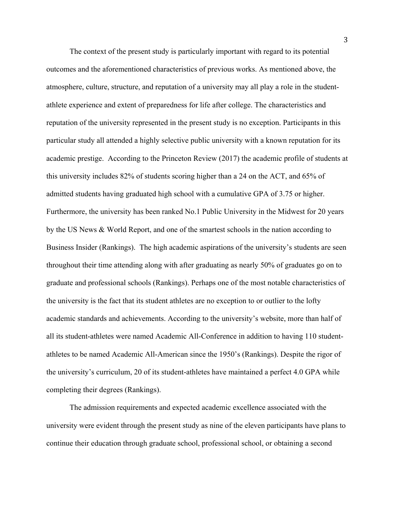The context of the present study is particularly important with regard to its potential outcomes and the aforementioned characteristics of previous works. As mentioned above, the atmosphere, culture, structure, and reputation of a university may all play a role in the studentathlete experience and extent of preparedness for life after college. The characteristics and reputation of the university represented in the present study is no exception. Participants in this particular study all attended a highly selective public university with a known reputation for its academic prestige. According to the Princeton Review (2017) the academic profile of students at this university includes 82% of students scoring higher than a 24 on the ACT, and 65% of admitted students having graduated high school with a cumulative GPA of 3.75 or higher. Furthermore, the university has been ranked No.1 Public University in the Midwest for 20 years by the US News & World Report, and one of the smartest schools in the nation according to Business Insider (Rankings). The high academic aspirations of the university's students are seen throughout their time attending along with after graduating as nearly 50% of graduates go on to graduate and professional schools (Rankings). Perhaps one of the most notable characteristics of the university is the fact that its student athletes are no exception to or outlier to the lofty academic standards and achievements. According to the university's website, more than half of all its student-athletes were named Academic All-Conference in addition to having 110 studentathletes to be named Academic All-American since the 1950's (Rankings). Despite the rigor of the university's curriculum, 20 of its student-athletes have maintained a perfect 4.0 GPA while completing their degrees (Rankings).

The admission requirements and expected academic excellence associated with the university were evident through the present study as nine of the eleven participants have plans to continue their education through graduate school, professional school, or obtaining a second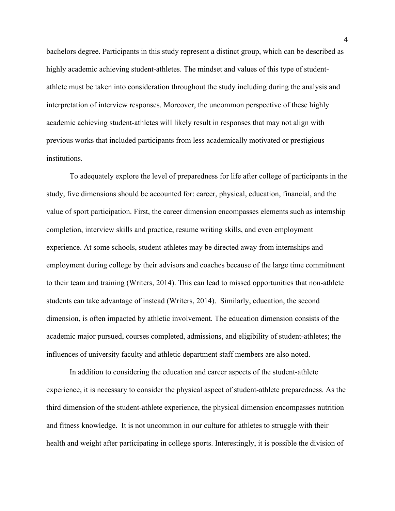bachelors degree. Participants in this study represent a distinct group, which can be described as highly academic achieving student-athletes. The mindset and values of this type of studentathlete must be taken into consideration throughout the study including during the analysis and interpretation of interview responses. Moreover, the uncommon perspective of these highly academic achieving student-athletes will likely result in responses that may not align with previous works that included participants from less academically motivated or prestigious institutions.

To adequately explore the level of preparedness for life after college of participants in the study, five dimensions should be accounted for: career, physical, education, financial, and the value of sport participation. First, the career dimension encompasses elements such as internship completion, interview skills and practice, resume writing skills, and even employment experience. At some schools, student-athletes may be directed away from internships and employment during college by their advisors and coaches because of the large time commitment to their team and training (Writers, 2014). This can lead to missed opportunities that non-athlete students can take advantage of instead (Writers, 2014). Similarly, education, the second dimension, is often impacted by athletic involvement. The education dimension consists of the academic major pursued, courses completed, admissions, and eligibility of student-athletes; the influences of university faculty and athletic department staff members are also noted.

In addition to considering the education and career aspects of the student-athlete experience, it is necessary to consider the physical aspect of student-athlete preparedness. As the third dimension of the student-athlete experience, the physical dimension encompasses nutrition and fitness knowledge. It is not uncommon in our culture for athletes to struggle with their health and weight after participating in college sports. Interestingly, it is possible the division of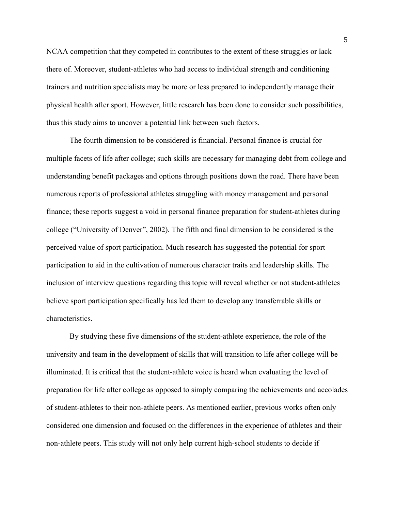NCAA competition that they competed in contributes to the extent of these struggles or lack there of. Moreover, student-athletes who had access to individual strength and conditioning trainers and nutrition specialists may be more or less prepared to independently manage their physical health after sport. However, little research has been done to consider such possibilities, thus this study aims to uncover a potential link between such factors.

The fourth dimension to be considered is financial. Personal finance is crucial for multiple facets of life after college; such skills are necessary for managing debt from college and understanding benefit packages and options through positions down the road. There have been numerous reports of professional athletes struggling with money management and personal finance; these reports suggest a void in personal finance preparation for student-athletes during college ("University of Denver", 2002). The fifth and final dimension to be considered is the perceived value of sport participation. Much research has suggested the potential for sport participation to aid in the cultivation of numerous character traits and leadership skills. The inclusion of interview questions regarding this topic will reveal whether or not student-athletes believe sport participation specifically has led them to develop any transferrable skills or characteristics.

By studying these five dimensions of the student-athlete experience, the role of the university and team in the development of skills that will transition to life after college will be illuminated. It is critical that the student-athlete voice is heard when evaluating the level of preparation for life after college as opposed to simply comparing the achievements and accolades of student-athletes to their non-athlete peers. As mentioned earlier, previous works often only considered one dimension and focused on the differences in the experience of athletes and their non-athlete peers. This study will not only help current high-school students to decide if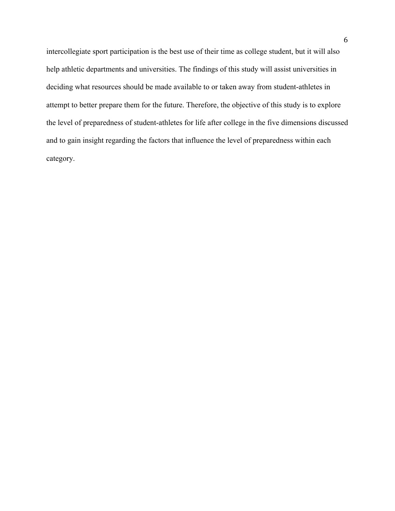intercollegiate sport participation is the best use of their time as college student, but it will also help athletic departments and universities. The findings of this study will assist universities in deciding what resources should be made available to or taken away from student-athletes in attempt to better prepare them for the future. Therefore, the objective of this study is to explore the level of preparedness of student-athletes for life after college in the five dimensions discussed and to gain insight regarding the factors that influence the level of preparedness within each category.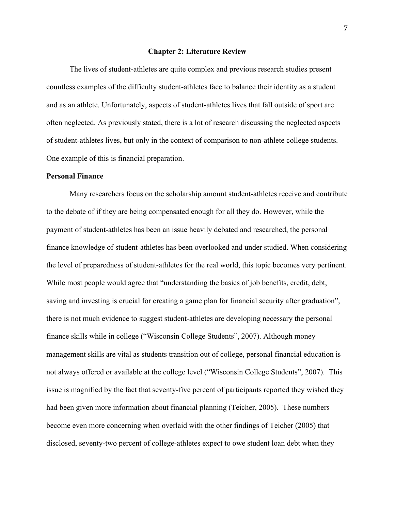#### **Chapter 2: Literature Review**

The lives of student-athletes are quite complex and previous research studies present countless examples of the difficulty student-athletes face to balance their identity as a student and as an athlete. Unfortunately, aspects of student-athletes lives that fall outside of sport are often neglected. As previously stated, there is a lot of research discussing the neglected aspects of student-athletes lives, but only in the context of comparison to non-athlete college students. One example of this is financial preparation.

#### **Personal Finance**

Many researchers focus on the scholarship amount student-athletes receive and contribute to the debate of if they are being compensated enough for all they do. However, while the payment of student-athletes has been an issue heavily debated and researched, the personal finance knowledge of student-athletes has been overlooked and under studied. When considering the level of preparedness of student-athletes for the real world, this topic becomes very pertinent. While most people would agree that "understanding the basics of job benefits, credit, debt, saving and investing is crucial for creating a game plan for financial security after graduation", there is not much evidence to suggest student-athletes are developing necessary the personal finance skills while in college ("Wisconsin College Students", 2007). Although money management skills are vital as students transition out of college, personal financial education is not always offered or available at the college level ("Wisconsin College Students", 2007). This issue is magnified by the fact that seventy-five percent of participants reported they wished they had been given more information about financial planning (Teicher, 2005). These numbers become even more concerning when overlaid with the other findings of Teicher (2005) that disclosed, seventy-two percent of college-athletes expect to owe student loan debt when they

7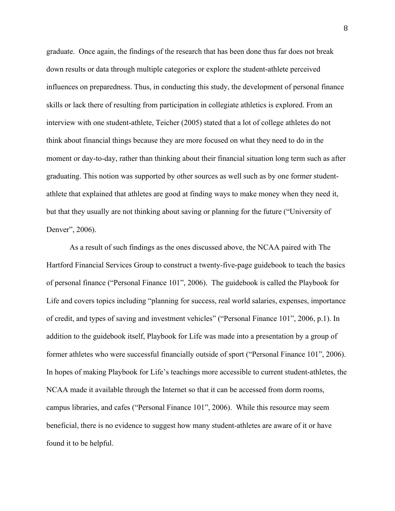graduate. Once again, the findings of the research that has been done thus far does not break down results or data through multiple categories or explore the student-athlete perceived influences on preparedness. Thus, in conducting this study, the development of personal finance skills or lack there of resulting from participation in collegiate athletics is explored. From an interview with one student-athlete, Teicher (2005) stated that a lot of college athletes do not think about financial things because they are more focused on what they need to do in the moment or day-to-day, rather than thinking about their financial situation long term such as after graduating. This notion was supported by other sources as well such as by one former studentathlete that explained that athletes are good at finding ways to make money when they need it, but that they usually are not thinking about saving or planning for the future ("University of Denver", 2006).

As a result of such findings as the ones discussed above, the NCAA paired with The Hartford Financial Services Group to construct a twenty-five-page guidebook to teach the basics of personal finance ("Personal Finance 101", 2006). The guidebook is called the Playbook for Life and covers topics including "planning for success, real world salaries, expenses, importance of credit, and types of saving and investment vehicles" ("Personal Finance 101", 2006, p.1). In addition to the guidebook itself, Playbook for Life was made into a presentation by a group of former athletes who were successful financially outside of sport ("Personal Finance 101", 2006). In hopes of making Playbook for Life's teachings more accessible to current student-athletes, the NCAA made it available through the Internet so that it can be accessed from dorm rooms, campus libraries, and cafes ("Personal Finance 101", 2006). While this resource may seem beneficial, there is no evidence to suggest how many student-athletes are aware of it or have found it to be helpful.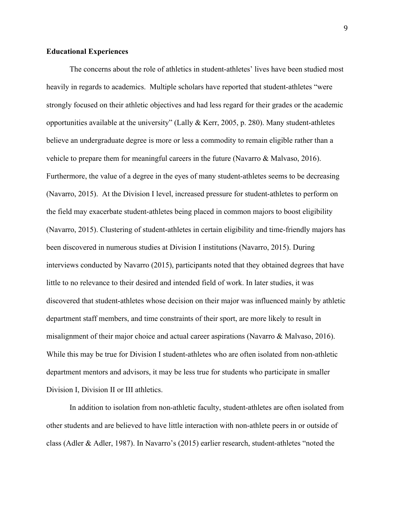#### **Educational Experiences**

The concerns about the role of athletics in student-athletes' lives have been studied most heavily in regards to academics. Multiple scholars have reported that student-athletes "were strongly focused on their athletic objectives and had less regard for their grades or the academic opportunities available at the university" (Lally & Kerr, 2005, p. 280). Many student-athletes believe an undergraduate degree is more or less a commodity to remain eligible rather than a vehicle to prepare them for meaningful careers in the future (Navarro & Malvaso, 2016). Furthermore, the value of a degree in the eyes of many student-athletes seems to be decreasing (Navarro, 2015). At the Division I level, increased pressure for student-athletes to perform on the field may exacerbate student-athletes being placed in common majors to boost eligibility (Navarro, 2015). Clustering of student-athletes in certain eligibility and time-friendly majors has been discovered in numerous studies at Division I institutions (Navarro, 2015). During interviews conducted by Navarro (2015), participants noted that they obtained degrees that have little to no relevance to their desired and intended field of work. In later studies, it was discovered that student-athletes whose decision on their major was influenced mainly by athletic department staff members, and time constraints of their sport, are more likely to result in misalignment of their major choice and actual career aspirations (Navarro & Malvaso, 2016). While this may be true for Division I student-athletes who are often isolated from non-athletic department mentors and advisors, it may be less true for students who participate in smaller Division I, Division II or III athletics.

In addition to isolation from non-athletic faculty, student-athletes are often isolated from other students and are believed to have little interaction with non-athlete peers in or outside of class (Adler & Adler, 1987). In Navarro's (2015) earlier research, student-athletes "noted the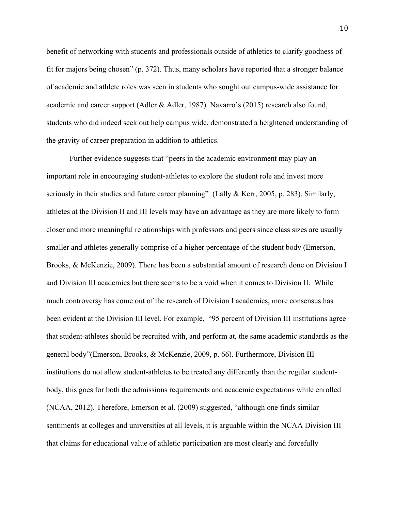benefit of networking with students and professionals outside of athletics to clarify goodness of fit for majors being chosen" (p. 372). Thus, many scholars have reported that a stronger balance of academic and athlete roles was seen in students who sought out campus-wide assistance for academic and career support (Adler & Adler, 1987). Navarro's (2015) research also found, students who did indeed seek out help campus wide, demonstrated a heightened understanding of the gravity of career preparation in addition to athletics.

Further evidence suggests that "peers in the academic environment may play an important role in encouraging student-athletes to explore the student role and invest more seriously in their studies and future career planning" (Lally & Kerr, 2005, p. 283). Similarly, athletes at the Division II and III levels may have an advantage as they are more likely to form closer and more meaningful relationships with professors and peers since class sizes are usually smaller and athletes generally comprise of a higher percentage of the student body (Emerson, Brooks, & McKenzie, 2009). There has been a substantial amount of research done on Division I and Division III academics but there seems to be a void when it comes to Division II. While much controversy has come out of the research of Division I academics, more consensus has been evident at the Division III level. For example, "95 percent of Division III institutions agree that student-athletes should be recruited with, and perform at, the same academic standards as the general body"(Emerson, Brooks, & McKenzie, 2009, p. 66). Furthermore, Division III institutions do not allow student-athletes to be treated any differently than the regular studentbody, this goes for both the admissions requirements and academic expectations while enrolled (NCAA, 2012). Therefore, Emerson et al. (2009) suggested, "although one finds similar sentiments at colleges and universities at all levels, it is arguable within the NCAA Division III that claims for educational value of athletic participation are most clearly and forcefully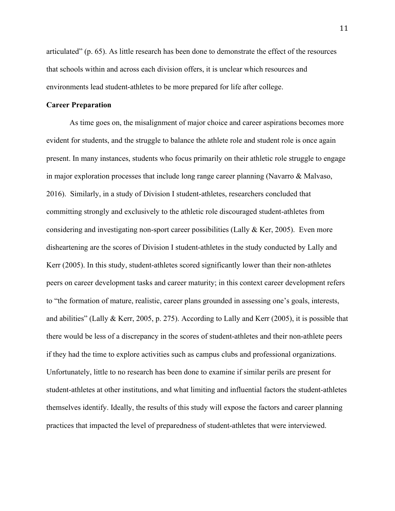articulated" (p. 65). As little research has been done to demonstrate the effect of the resources that schools within and across each division offers, it is unclear which resources and environments lead student-athletes to be more prepared for life after college.

### **Career Preparation**

As time goes on, the misalignment of major choice and career aspirations becomes more evident for students, and the struggle to balance the athlete role and student role is once again present. In many instances, students who focus primarily on their athletic role struggle to engage in major exploration processes that include long range career planning (Navarro & Malvaso, 2016). Similarly, in a study of Division I student-athletes, researchers concluded that committing strongly and exclusively to the athletic role discouraged student-athletes from considering and investigating non-sport career possibilities (Lally & Ker, 2005). Even more disheartening are the scores of Division I student-athletes in the study conducted by Lally and Kerr (2005). In this study, student-athletes scored significantly lower than their non-athletes peers on career development tasks and career maturity; in this context career development refers to "the formation of mature, realistic, career plans grounded in assessing one's goals, interests, and abilities" (Lally & Kerr, 2005, p. 275). According to Lally and Kerr (2005), it is possible that there would be less of a discrepancy in the scores of student-athletes and their non-athlete peers if they had the time to explore activities such as campus clubs and professional organizations. Unfortunately, little to no research has been done to examine if similar perils are present for student-athletes at other institutions, and what limiting and influential factors the student-athletes themselves identify. Ideally, the results of this study will expose the factors and career planning practices that impacted the level of preparedness of student-athletes that were interviewed.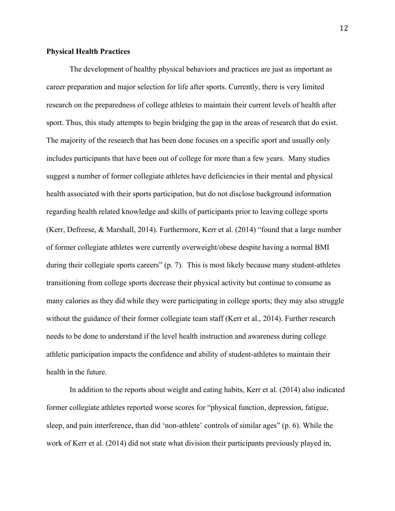## **Physical Health Practices**

The development of healthy physical behaviors and practices are just as important as career preparation and major selection for life after sports. Currently, there is very limited research on the preparedness of college athletes to maintain their current levels of health after sport. Thus, this study attempts to begin bridging the gap in the areas of research that do exist. The majority of the research that has been done focuses on a specific sport and usually only includes participants that have been out of college for more than a few years. Many studies suggest a number of former collegiate athletes have deficiencies in their mental and physical health associated with their sports participation, but do not disclose background information regarding health related knowledge and skills of participants prior to leaving college sports (Kerr, Defreese, & Marshall, 2014). Furthermore, Kerr et al. (2014) "found that a large number of former collegiate athletes were currently overweight/obese despite having a normal BMI during their collegiate sports careers" (p. 7). This is most likely because many student-athletes transitioning from college sports decrease their physical activity but continue to consume as many calories as they did while they were participating in college sports; they may also struggle without the guidance of their former collegiate team staff (Kerr et al., 2014). Further research needs to be done to understand if the level health instruction and awareness during college athletic participation impacts the confidence and ability of student-athletes to maintain their health in the future.

In addition to the reports about weight and eating habits, Kerr et al. (2014) also indicated former collegiate athletes reported worse scores for "physical function, depression, fatigue, sleep, and pain interference, than did 'non-athlete' controls of similar ages" (p. 6). While the work of Kerr et al. (2014) did not state what division their participants previously played in,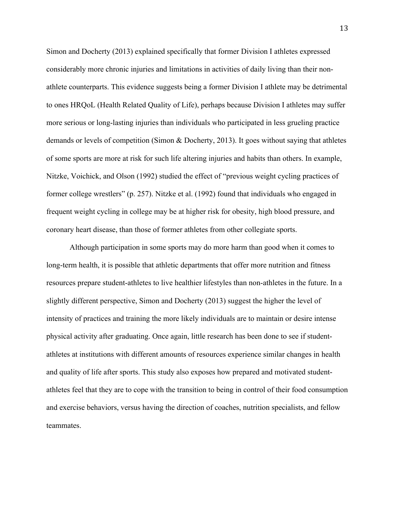Simon and Docherty (2013) explained specifically that former Division I athletes expressed considerably more chronic injuries and limitations in activities of daily living than their nonathlete counterparts. This evidence suggests being a former Division I athlete may be detrimental to ones HRQoL (Health Related Quality of Life), perhaps because Division I athletes may suffer more serious or long-lasting injuries than individuals who participated in less grueling practice demands or levels of competition (Simon & Docherty, 2013). It goes without saying that athletes of some sports are more at risk for such life altering injuries and habits than others. In example, Nitzke, Voichick, and Olson (1992) studied the effect of "previous weight cycling practices of former college wrestlers" (p. 257). Nitzke et al. (1992) found that individuals who engaged in frequent weight cycling in college may be at higher risk for obesity, high blood pressure, and coronary heart disease, than those of former athletes from other collegiate sports.

Although participation in some sports may do more harm than good when it comes to long-term health, it is possible that athletic departments that offer more nutrition and fitness resources prepare student-athletes to live healthier lifestyles than non-athletes in the future. In a slightly different perspective, Simon and Docherty (2013) suggest the higher the level of intensity of practices and training the more likely individuals are to maintain or desire intense physical activity after graduating. Once again, little research has been done to see if studentathletes at institutions with different amounts of resources experience similar changes in health and quality of life after sports. This study also exposes how prepared and motivated studentathletes feel that they are to cope with the transition to being in control of their food consumption and exercise behaviors, versus having the direction of coaches, nutrition specialists, and fellow teammates.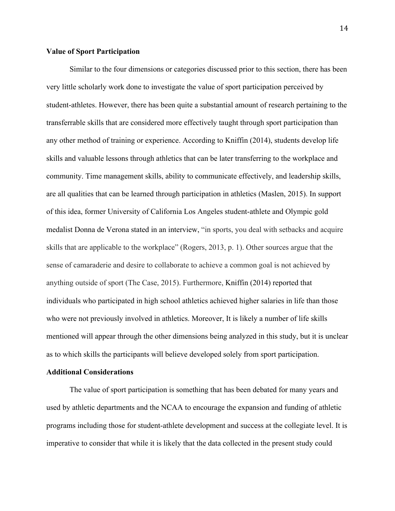### **Value of Sport Participation**

Similar to the four dimensions or categories discussed prior to this section, there has been very little scholarly work done to investigate the value of sport participation perceived by student-athletes. However, there has been quite a substantial amount of research pertaining to the transferrable skills that are considered more effectively taught through sport participation than any other method of training or experience. According to Kniffin (2014), students develop life skills and valuable lessons through athletics that can be later transferring to the workplace and community. Time management skills, ability to communicate effectively, and leadership skills, are all qualities that can be learned through participation in athletics (Maslen, 2015). In support of this idea, former University of California Los Angeles student-athlete and Olympic gold medalist Donna de Verona stated in an interview, "in sports, you deal with setbacks and acquire skills that are applicable to the workplace" (Rogers, 2013, p. 1). Other sources argue that the sense of camaraderie and desire to collaborate to achieve a common goal is not achieved by anything outside of sport (The Case, 2015). Furthermore, Kniffin (2014) reported that individuals who participated in high school athletics achieved higher salaries in life than those who were not previously involved in athletics. Moreover, It is likely a number of life skills mentioned will appear through the other dimensions being analyzed in this study, but it is unclear as to which skills the participants will believe developed solely from sport participation.

#### **Additional Considerations**

The value of sport participation is something that has been debated for many years and used by athletic departments and the NCAA to encourage the expansion and funding of athletic programs including those for student-athlete development and success at the collegiate level. It is imperative to consider that while it is likely that the data collected in the present study could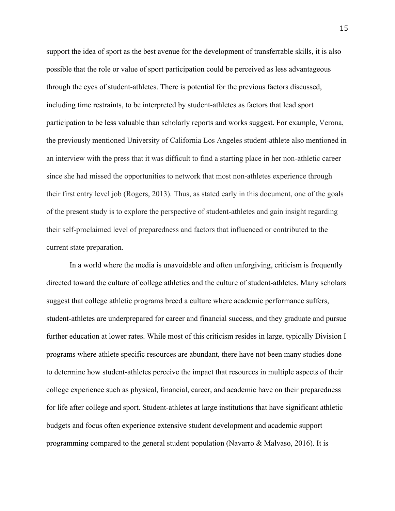support the idea of sport as the best avenue for the development of transferrable skills, it is also possible that the role or value of sport participation could be perceived as less advantageous through the eyes of student-athletes. There is potential for the previous factors discussed, including time restraints, to be interpreted by student-athletes as factors that lead sport participation to be less valuable than scholarly reports and works suggest. For example, Verona, the previously mentioned University of California Los Angeles student-athlete also mentioned in an interview with the press that it was difficult to find a starting place in her non-athletic career since she had missed the opportunities to network that most non-athletes experience through their first entry level job (Rogers, 2013). Thus, as stated early in this document, one of the goals of the present study is to explore the perspective of student-athletes and gain insight regarding their self-proclaimed level of preparedness and factors that influenced or contributed to the current state preparation.

In a world where the media is unavoidable and often unforgiving, criticism is frequently directed toward the culture of college athletics and the culture of student-athletes. Many scholars suggest that college athletic programs breed a culture where academic performance suffers, student-athletes are underprepared for career and financial success, and they graduate and pursue further education at lower rates. While most of this criticism resides in large, typically Division I programs where athlete specific resources are abundant, there have not been many studies done to determine how student-athletes perceive the impact that resources in multiple aspects of their college experience such as physical, financial, career, and academic have on their preparedness for life after college and sport. Student-athletes at large institutions that have significant athletic budgets and focus often experience extensive student development and academic support programming compared to the general student population (Navarro & Malvaso, 2016). It is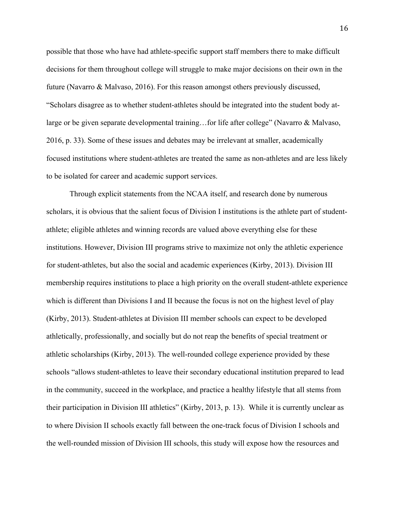possible that those who have had athlete-specific support staff members there to make difficult decisions for them throughout college will struggle to make major decisions on their own in the future (Navarro & Malvaso, 2016). For this reason amongst others previously discussed, "Scholars disagree as to whether student-athletes should be integrated into the student body atlarge or be given separate developmental training...for life after college" (Navarro & Malvaso, 2016, p. 33). Some of these issues and debates may be irrelevant at smaller, academically focused institutions where student-athletes are treated the same as non-athletes and are less likely to be isolated for career and academic support services.

Through explicit statements from the NCAA itself, and research done by numerous scholars, it is obvious that the salient focus of Division I institutions is the athlete part of studentathlete; eligible athletes and winning records are valued above everything else for these institutions. However, Division III programs strive to maximize not only the athletic experience for student-athletes, but also the social and academic experiences (Kirby, 2013). Division III membership requires institutions to place a high priority on the overall student-athlete experience which is different than Divisions I and II because the focus is not on the highest level of play (Kirby, 2013). Student-athletes at Division III member schools can expect to be developed athletically, professionally, and socially but do not reap the benefits of special treatment or athletic scholarships (Kirby, 2013). The well-rounded college experience provided by these schools "allows student-athletes to leave their secondary educational institution prepared to lead in the community, succeed in the workplace, and practice a healthy lifestyle that all stems from their participation in Division III athletics" (Kirby, 2013, p. 13). While it is currently unclear as to where Division II schools exactly fall between the one-track focus of Division I schools and the well-rounded mission of Division III schools, this study will expose how the resources and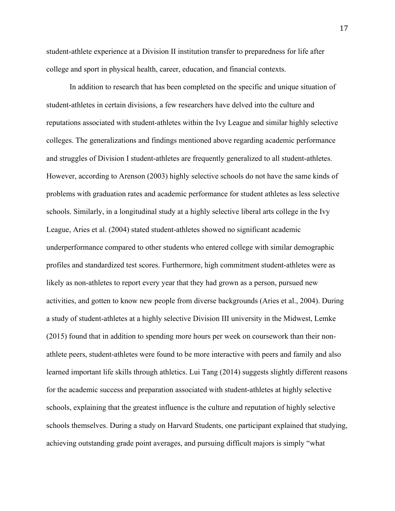student-athlete experience at a Division II institution transfer to preparedness for life after college and sport in physical health, career, education, and financial contexts.

In addition to research that has been completed on the specific and unique situation of student-athletes in certain divisions, a few researchers have delved into the culture and reputations associated with student-athletes within the Ivy League and similar highly selective colleges. The generalizations and findings mentioned above regarding academic performance and struggles of Division I student-athletes are frequently generalized to all student-athletes. However, according to Arenson (2003) highly selective schools do not have the same kinds of problems with graduation rates and academic performance for student athletes as less selective schools. Similarly, in a longitudinal study at a highly selective liberal arts college in the Ivy League, Aries et al. (2004) stated student-athletes showed no significant academic underperformance compared to other students who entered college with similar demographic profiles and standardized test scores. Furthermore, high commitment student-athletes were as likely as non-athletes to report every year that they had grown as a person, pursued new activities, and gotten to know new people from diverse backgrounds (Aries et al., 2004). During a study of student-athletes at a highly selective Division III university in the Midwest, Lemke (2015) found that in addition to spending more hours per week on coursework than their nonathlete peers, student-athletes were found to be more interactive with peers and family and also learned important life skills through athletics. Lui Tang (2014) suggests slightly different reasons for the academic success and preparation associated with student-athletes at highly selective schools, explaining that the greatest influence is the culture and reputation of highly selective schools themselves. During a study on Harvard Students, one participant explained that studying, achieving outstanding grade point averages, and pursuing difficult majors is simply "what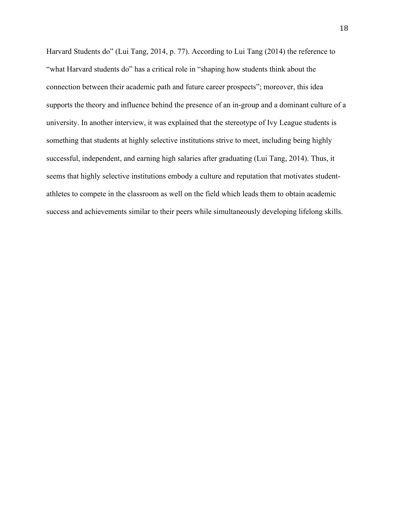Harvard Students do" (Lui Tang, 2014, p. 77). According to Lui Tang (2014) the reference to "what Harvard students do" has a critical role in "shaping how students think about the connection between their academic path and future career prospects"; moreover, this idea supports the theory and influence behind the presence of an in-group and a dominant culture of a university. In another interview, it was explained that the stereotype of Ivy League students is something that students at highly selective institutions strive to meet, including being highly successful, independent, and earning high salaries after graduating (Lui Tang, 2014). Thus, it seems that highly selective institutions embody a culture and reputation that motivates studentathletes to compete in the classroom as well on the field which leads them to obtain academic success and achievements similar to their peers while simultaneously developing lifelong skills.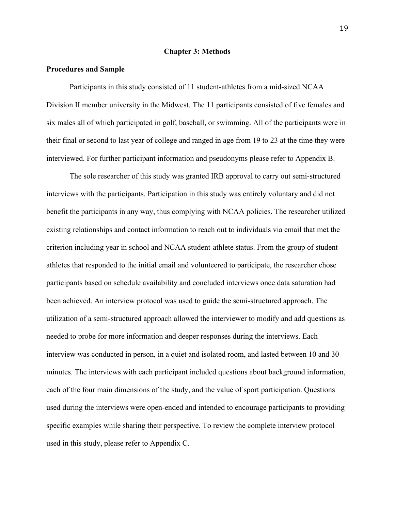#### **Chapter 3: Methods**

### **Procedures and Sample**

Participants in this study consisted of 11 student-athletes from a mid-sized NCAA Division II member university in the Midwest. The 11 participants consisted of five females and six males all of which participated in golf, baseball, or swimming. All of the participants were in their final or second to last year of college and ranged in age from 19 to 23 at the time they were interviewed. For further participant information and pseudonyms please refer to Appendix B.

The sole researcher of this study was granted IRB approval to carry out semi-structured interviews with the participants. Participation in this study was entirely voluntary and did not benefit the participants in any way, thus complying with NCAA policies. The researcher utilized existing relationships and contact information to reach out to individuals via email that met the criterion including year in school and NCAA student-athlete status. From the group of studentathletes that responded to the initial email and volunteered to participate, the researcher chose participants based on schedule availability and concluded interviews once data saturation had been achieved. An interview protocol was used to guide the semi-structured approach. The utilization of a semi-structured approach allowed the interviewer to modify and add questions as needed to probe for more information and deeper responses during the interviews. Each interview was conducted in person, in a quiet and isolated room, and lasted between 10 and 30 minutes. The interviews with each participant included questions about background information, each of the four main dimensions of the study, and the value of sport participation. Questions used during the interviews were open-ended and intended to encourage participants to providing specific examples while sharing their perspective. To review the complete interview protocol used in this study, please refer to Appendix C.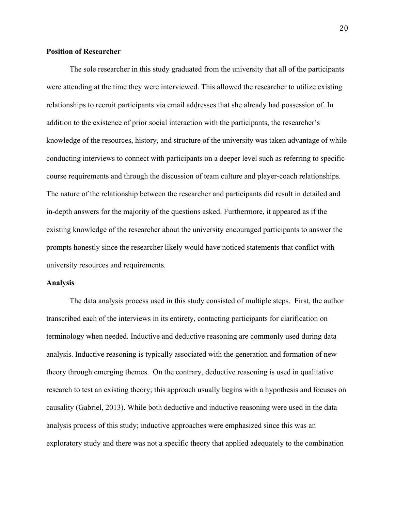### **Position of Researcher**

The sole researcher in this study graduated from the university that all of the participants were attending at the time they were interviewed. This allowed the researcher to utilize existing relationships to recruit participants via email addresses that she already had possession of. In addition to the existence of prior social interaction with the participants, the researcher's knowledge of the resources, history, and structure of the university was taken advantage of while conducting interviews to connect with participants on a deeper level such as referring to specific course requirements and through the discussion of team culture and player-coach relationships. The nature of the relationship between the researcher and participants did result in detailed and in-depth answers for the majority of the questions asked. Furthermore, it appeared as if the existing knowledge of the researcher about the university encouraged participants to answer the prompts honestly since the researcher likely would have noticed statements that conflict with university resources and requirements.

#### **Analysis**

The data analysis process used in this study consisted of multiple steps. First, the author transcribed each of the interviews in its entirety, contacting participants for clarification on terminology when needed. Inductive and deductive reasoning are commonly used during data analysis. Inductive reasoning is typically associated with the generation and formation of new theory through emerging themes. On the contrary, deductive reasoning is used in qualitative research to test an existing theory; this approach usually begins with a hypothesis and focuses on causality (Gabriel, 2013). While both deductive and inductive reasoning were used in the data analysis process of this study; inductive approaches were emphasized since this was an exploratory study and there was not a specific theory that applied adequately to the combination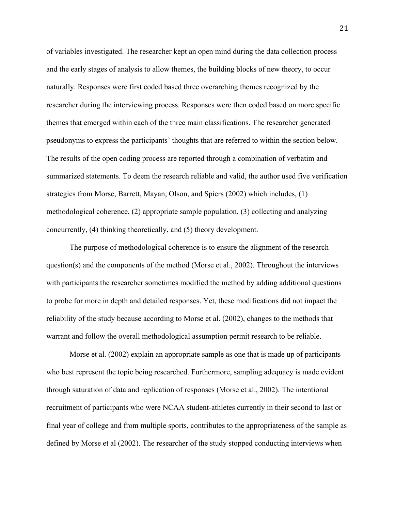of variables investigated. The researcher kept an open mind during the data collection process and the early stages of analysis to allow themes, the building blocks of new theory, to occur naturally. Responses were first coded based three overarching themes recognized by the researcher during the interviewing process. Responses were then coded based on more specific themes that emerged within each of the three main classifications. The researcher generated pseudonyms to express the participants' thoughts that are referred to within the section below. The results of the open coding process are reported through a combination of verbatim and summarized statements. To deem the research reliable and valid, the author used five verification strategies from Morse, Barrett, Mayan, Olson, and Spiers (2002) which includes, (1) methodological coherence, (2) appropriate sample population, (3) collecting and analyzing concurrently, (4) thinking theoretically, and (5) theory development.

The purpose of methodological coherence is to ensure the alignment of the research question(s) and the components of the method (Morse et al., 2002). Throughout the interviews with participants the researcher sometimes modified the method by adding additional questions to probe for more in depth and detailed responses. Yet, these modifications did not impact the reliability of the study because according to Morse et al. (2002), changes to the methods that warrant and follow the overall methodological assumption permit research to be reliable.

Morse et al. (2002) explain an appropriate sample as one that is made up of participants who best represent the topic being researched. Furthermore, sampling adequacy is made evident through saturation of data and replication of responses (Morse et al., 2002). The intentional recruitment of participants who were NCAA student-athletes currently in their second to last or final year of college and from multiple sports, contributes to the appropriateness of the sample as defined by Morse et al (2002). The researcher of the study stopped conducting interviews when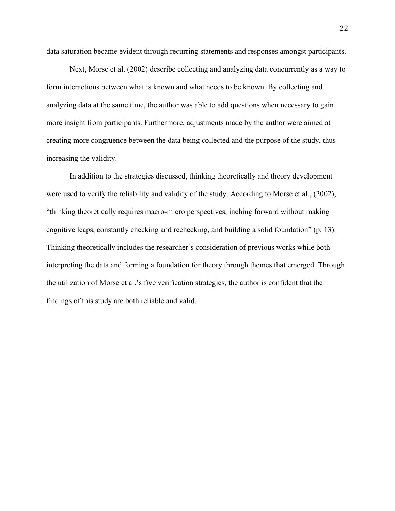data saturation became evident through recurring statements and responses amongst participants.

Next, Morse et al. (2002) describe collecting and analyzing data concurrently as a way to form interactions between what is known and what needs to be known. By collecting and analyzing data at the same time, the author was able to add questions when necessary to gain more insight from participants. Furthermore, adjustments made by the author were aimed at creating more congruence between the data being collected and the purpose of the study, thus increasing the validity.

In addition to the strategies discussed, thinking theoretically and theory development were used to verify the reliability and validity of the study. According to Morse et al., (2002), "thinking theoretically requires macro-micro perspectives, inching forward without making cognitive leaps, constantly checking and rechecking, and building a solid foundation" (p. 13). Thinking theoretically includes the researcher's consideration of previous works while both interpreting the data and forming a foundation for theory through themes that emerged. Through the utilization of Morse et al.'s five verification strategies, the author is confident that the findings of this study are both reliable and valid.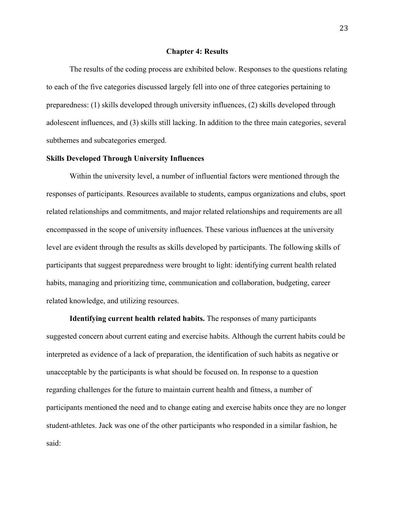#### **Chapter 4: Results**

The results of the coding process are exhibited below. Responses to the questions relating to each of the five categories discussed largely fell into one of three categories pertaining to preparedness: (1) skills developed through university influences, (2) skills developed through adolescent influences, and (3) skills still lacking. In addition to the three main categories, several subthemes and subcategories emerged.

### **Skills Developed Through University Influences**

Within the university level, a number of influential factors were mentioned through the responses of participants. Resources available to students, campus organizations and clubs, sport related relationships and commitments, and major related relationships and requirements are all encompassed in the scope of university influences. These various influences at the university level are evident through the results as skills developed by participants. The following skills of participants that suggest preparedness were brought to light: identifying current health related habits, managing and prioritizing time, communication and collaboration, budgeting, career related knowledge, and utilizing resources.

**Identifying current health related habits.** The responses of many participants suggested concern about current eating and exercise habits. Although the current habits could be interpreted as evidence of a lack of preparation, the identification of such habits as negative or unacceptable by the participants is what should be focused on. In response to a question regarding challenges for the future to maintain current health and fitness, a number of participants mentioned the need and to change eating and exercise habits once they are no longer student-athletes. Jack was one of the other participants who responded in a similar fashion, he said: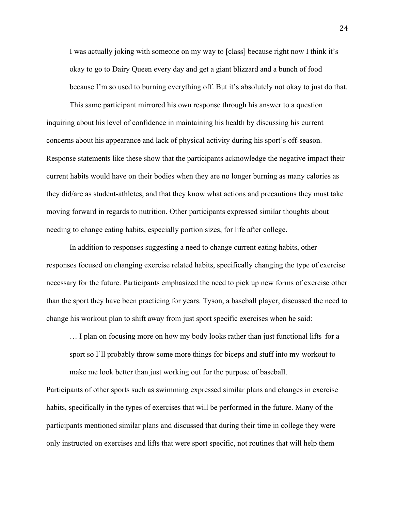I was actually joking with someone on my way to [class] because right now I think it's okay to go to Dairy Queen every day and get a giant blizzard and a bunch of food because I'm so used to burning everything off. But it's absolutely not okay to just do that.

This same participant mirrored his own response through his answer to a question inquiring about his level of confidence in maintaining his health by discussing his current concerns about his appearance and lack of physical activity during his sport's off-season. Response statements like these show that the participants acknowledge the negative impact their current habits would have on their bodies when they are no longer burning as many calories as they did/are as student-athletes, and that they know what actions and precautions they must take moving forward in regards to nutrition. Other participants expressed similar thoughts about needing to change eating habits, especially portion sizes, for life after college.

In addition to responses suggesting a need to change current eating habits, other responses focused on changing exercise related habits, specifically changing the type of exercise necessary for the future. Participants emphasized the need to pick up new forms of exercise other than the sport they have been practicing for years. Tyson, a baseball player, discussed the need to change his workout plan to shift away from just sport specific exercises when he said:

… I plan on focusing more on how my body looks rather than just functional lifts for a sport so I'll probably throw some more things for biceps and stuff into my workout to make me look better than just working out for the purpose of baseball.

Participants of other sports such as swimming expressed similar plans and changes in exercise habits, specifically in the types of exercises that will be performed in the future. Many of the participants mentioned similar plans and discussed that during their time in college they were only instructed on exercises and lifts that were sport specific, not routines that will help them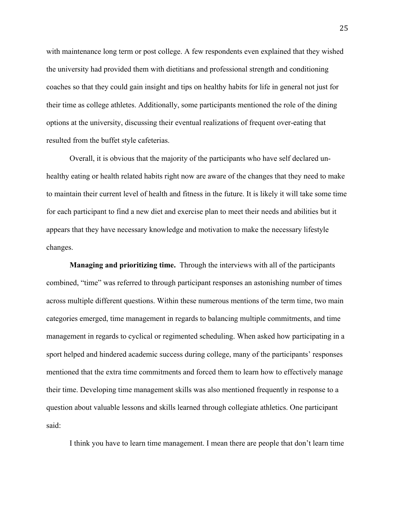with maintenance long term or post college. A few respondents even explained that they wished the university had provided them with dietitians and professional strength and conditioning coaches so that they could gain insight and tips on healthy habits for life in general not just for their time as college athletes. Additionally, some participants mentioned the role of the dining options at the university, discussing their eventual realizations of frequent over-eating that resulted from the buffet style cafeterias.

Overall, it is obvious that the majority of the participants who have self declared unhealthy eating or health related habits right now are aware of the changes that they need to make to maintain their current level of health and fitness in the future. It is likely it will take some time for each participant to find a new diet and exercise plan to meet their needs and abilities but it appears that they have necessary knowledge and motivation to make the necessary lifestyle changes.

**Managing and prioritizing time.** Through the interviews with all of the participants combined, "time" was referred to through participant responses an astonishing number of times across multiple different questions. Within these numerous mentions of the term time, two main categories emerged, time management in regards to balancing multiple commitments, and time management in regards to cyclical or regimented scheduling. When asked how participating in a sport helped and hindered academic success during college, many of the participants' responses mentioned that the extra time commitments and forced them to learn how to effectively manage their time. Developing time management skills was also mentioned frequently in response to a question about valuable lessons and skills learned through collegiate athletics. One participant said:

I think you have to learn time management. I mean there are people that don't learn time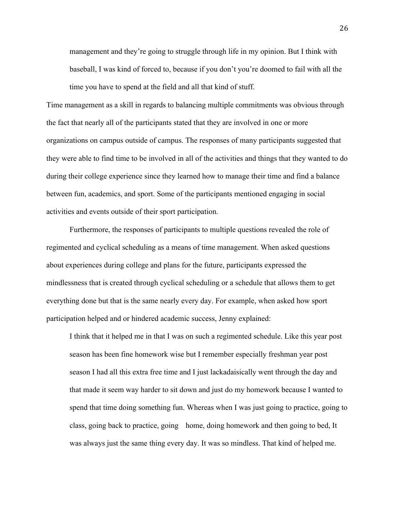management and they're going to struggle through life in my opinion. But I think with baseball, I was kind of forced to, because if you don't you're doomed to fail with all the time you have to spend at the field and all that kind of stuff.

Time management as a skill in regards to balancing multiple commitments was obvious through the fact that nearly all of the participants stated that they are involved in one or more organizations on campus outside of campus. The responses of many participants suggested that they were able to find time to be involved in all of the activities and things that they wanted to do during their college experience since they learned how to manage their time and find a balance between fun, academics, and sport. Some of the participants mentioned engaging in social activities and events outside of their sport participation.

Furthermore, the responses of participants to multiple questions revealed the role of regimented and cyclical scheduling as a means of time management. When asked questions about experiences during college and plans for the future, participants expressed the mindlessness that is created through cyclical scheduling or a schedule that allows them to get everything done but that is the same nearly every day. For example, when asked how sport participation helped and or hindered academic success, Jenny explained:

I think that it helped me in that I was on such a regimented schedule. Like this year post season has been fine homework wise but I remember especially freshman year post season I had all this extra free time and I just lackadaisically went through the day and that made it seem way harder to sit down and just do my homework because I wanted to spend that time doing something fun. Whereas when I was just going to practice, going to class, going back to practice, going home, doing homework and then going to bed, It was always just the same thing every day. It was so mindless. That kind of helped me.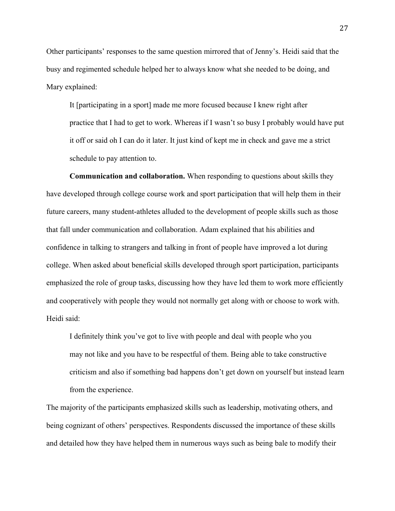Other participants' responses to the same question mirrored that of Jenny's. Heidi said that the busy and regimented schedule helped her to always know what she needed to be doing, and Mary explained:

It [participating in a sport] made me more focused because I knew right after practice that I had to get to work. Whereas if I wasn't so busy I probably would have put it off or said oh I can do it later. It just kind of kept me in check and gave me a strict schedule to pay attention to.

**Communication and collaboration.** When responding to questions about skills they have developed through college course work and sport participation that will help them in their future careers, many student-athletes alluded to the development of people skills such as those that fall under communication and collaboration. Adam explained that his abilities and confidence in talking to strangers and talking in front of people have improved a lot during college. When asked about beneficial skills developed through sport participation, participants emphasized the role of group tasks, discussing how they have led them to work more efficiently and cooperatively with people they would not normally get along with or choose to work with. Heidi said:

I definitely think you've got to live with people and deal with people who you may not like and you have to be respectful of them. Being able to take constructive criticism and also if something bad happens don't get down on yourself but instead learn from the experience.

The majority of the participants emphasized skills such as leadership, motivating others, and being cognizant of others' perspectives. Respondents discussed the importance of these skills and detailed how they have helped them in numerous ways such as being bale to modify their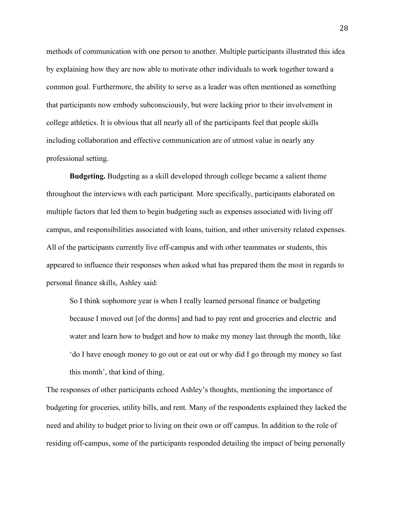methods of communication with one person to another. Multiple participants illustrated this idea by explaining how they are now able to motivate other individuals to work together toward a common goal. Furthermore, the ability to serve as a leader was often mentioned as something that participants now embody subconsciously, but were lacking prior to their involvement in college athletics. It is obvious that all nearly all of the participants feel that people skills including collaboration and effective communication are of utmost value in nearly any professional setting.

**Budgeting.** Budgeting as a skill developed through college became a salient theme throughout the interviews with each participant. More specifically, participants elaborated on multiple factors that led them to begin budgeting such as expenses associated with living off campus, and responsibilities associated with loans, tuition, and other university related expenses. All of the participants currently live off-campus and with other teammates or students, this appeared to influence their responses when asked what has prepared them the most in regards to personal finance skills, Ashley said:

So I think sophomore year is when I really learned personal finance or budgeting because I moved out [of the dorms] and had to pay rent and groceries and electric and water and learn how to budget and how to make my money last through the month, like 'do I have enough money to go out or eat out or why did I go through my money so fast this month', that kind of thing.

The responses of other participants echoed Ashley's thoughts, mentioning the importance of budgeting for groceries, utility bills, and rent. Many of the respondents explained they lacked the need and ability to budget prior to living on their own or off campus. In addition to the role of residing off-campus, some of the participants responded detailing the impact of being personally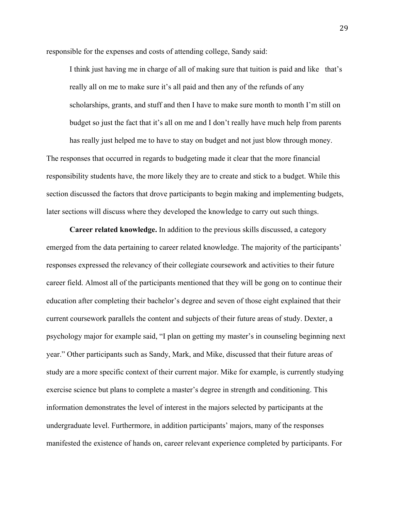responsible for the expenses and costs of attending college, Sandy said:

I think just having me in charge of all of making sure that tuition is paid and like that's really all on me to make sure it's all paid and then any of the refunds of any scholarships, grants, and stuff and then I have to make sure month to month I'm still on budget so just the fact that it's all on me and I don't really have much help from parents has really just helped me to have to stay on budget and not just blow through money.

The responses that occurred in regards to budgeting made it clear that the more financial responsibility students have, the more likely they are to create and stick to a budget. While this section discussed the factors that drove participants to begin making and implementing budgets, later sections will discuss where they developed the knowledge to carry out such things.

**Career related knowledge.** In addition to the previous skills discussed, a category emerged from the data pertaining to career related knowledge. The majority of the participants' responses expressed the relevancy of their collegiate coursework and activities to their future career field. Almost all of the participants mentioned that they will be gong on to continue their education after completing their bachelor's degree and seven of those eight explained that their current coursework parallels the content and subjects of their future areas of study. Dexter, a psychology major for example said, "I plan on getting my master's in counseling beginning next year." Other participants such as Sandy, Mark, and Mike, discussed that their future areas of study are a more specific context of their current major. Mike for example, is currently studying exercise science but plans to complete a master's degree in strength and conditioning. This information demonstrates the level of interest in the majors selected by participants at the undergraduate level. Furthermore, in addition participants' majors, many of the responses manifested the existence of hands on, career relevant experience completed by participants. For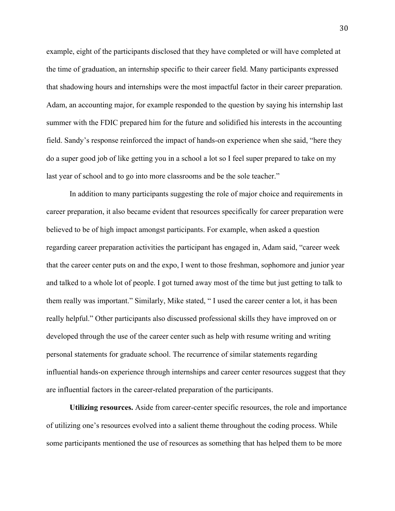example, eight of the participants disclosed that they have completed or will have completed at the time of graduation, an internship specific to their career field. Many participants expressed that shadowing hours and internships were the most impactful factor in their career preparation. Adam, an accounting major, for example responded to the question by saying his internship last summer with the FDIC prepared him for the future and solidified his interests in the accounting field. Sandy's response reinforced the impact of hands-on experience when she said, "here they do a super good job of like getting you in a school a lot so I feel super prepared to take on my last year of school and to go into more classrooms and be the sole teacher."

In addition to many participants suggesting the role of major choice and requirements in career preparation, it also became evident that resources specifically for career preparation were believed to be of high impact amongst participants. For example, when asked a question regarding career preparation activities the participant has engaged in, Adam said, "career week that the career center puts on and the expo, I went to those freshman, sophomore and junior year and talked to a whole lot of people. I got turned away most of the time but just getting to talk to them really was important." Similarly, Mike stated, " I used the career center a lot, it has been really helpful." Other participants also discussed professional skills they have improved on or developed through the use of the career center such as help with resume writing and writing personal statements for graduate school. The recurrence of similar statements regarding influential hands-on experience through internships and career center resources suggest that they are influential factors in the career-related preparation of the participants.

**Utilizing resources.** Aside from career-center specific resources, the role and importance of utilizing one's resources evolved into a salient theme throughout the coding process. While some participants mentioned the use of resources as something that has helped them to be more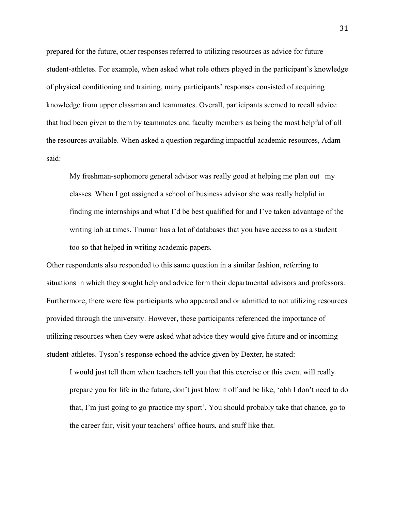prepared for the future, other responses referred to utilizing resources as advice for future student-athletes. For example, when asked what role others played in the participant's knowledge of physical conditioning and training, many participants' responses consisted of acquiring knowledge from upper classman and teammates. Overall, participants seemed to recall advice that had been given to them by teammates and faculty members as being the most helpful of all the resources available. When asked a question regarding impactful academic resources, Adam said:

My freshman-sophomore general advisor was really good at helping me plan out my classes. When I got assigned a school of business advisor she was really helpful in finding me internships and what I'd be best qualified for and I've taken advantage of the writing lab at times. Truman has a lot of databases that you have access to as a student too so that helped in writing academic papers.

Other respondents also responded to this same question in a similar fashion, referring to situations in which they sought help and advice form their departmental advisors and professors. Furthermore, there were few participants who appeared and or admitted to not utilizing resources provided through the university. However, these participants referenced the importance of utilizing resources when they were asked what advice they would give future and or incoming student-athletes. Tyson's response echoed the advice given by Dexter, he stated:

I would just tell them when teachers tell you that this exercise or this event will really prepare you for life in the future, don't just blow it off and be like, 'ohh I don't need to do that, I'm just going to go practice my sport'. You should probably take that chance, go to the career fair, visit your teachers' office hours, and stuff like that.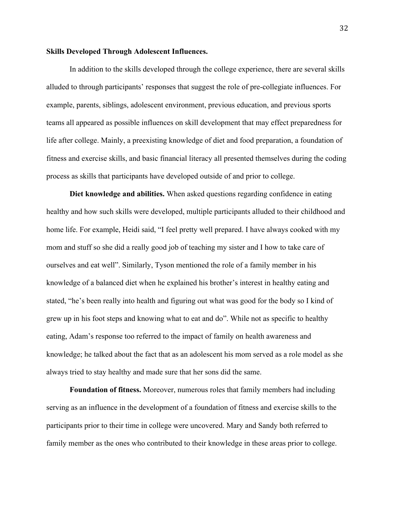### **Skills Developed Through Adolescent Influences.**

In addition to the skills developed through the college experience, there are several skills alluded to through participants' responses that suggest the role of pre-collegiate influences. For example, parents, siblings, adolescent environment, previous education, and previous sports teams all appeared as possible influences on skill development that may effect preparedness for life after college. Mainly, a preexisting knowledge of diet and food preparation, a foundation of fitness and exercise skills, and basic financial literacy all presented themselves during the coding process as skills that participants have developed outside of and prior to college.

**Diet knowledge and abilities.** When asked questions regarding confidence in eating healthy and how such skills were developed, multiple participants alluded to their childhood and home life. For example, Heidi said, "I feel pretty well prepared. I have always cooked with my mom and stuff so she did a really good job of teaching my sister and I how to take care of ourselves and eat well". Similarly, Tyson mentioned the role of a family member in his knowledge of a balanced diet when he explained his brother's interest in healthy eating and stated, "he's been really into health and figuring out what was good for the body so I kind of grew up in his foot steps and knowing what to eat and do". While not as specific to healthy eating, Adam's response too referred to the impact of family on health awareness and knowledge; he talked about the fact that as an adolescent his mom served as a role model as she always tried to stay healthy and made sure that her sons did the same.

**Foundation of fitness.** Moreover, numerous roles that family members had including serving as an influence in the development of a foundation of fitness and exercise skills to the participants prior to their time in college were uncovered. Mary and Sandy both referred to family member as the ones who contributed to their knowledge in these areas prior to college.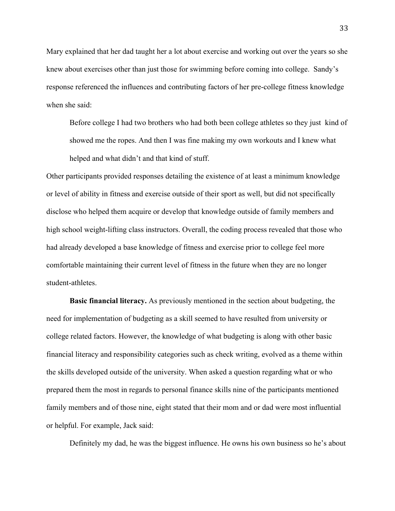Mary explained that her dad taught her a lot about exercise and working out over the years so she knew about exercises other than just those for swimming before coming into college. Sandy's response referenced the influences and contributing factors of her pre-college fitness knowledge when she said:

Before college I had two brothers who had both been college athletes so they just kind of showed me the ropes. And then I was fine making my own workouts and I knew what helped and what didn't and that kind of stuff.

Other participants provided responses detailing the existence of at least a minimum knowledge or level of ability in fitness and exercise outside of their sport as well, but did not specifically disclose who helped them acquire or develop that knowledge outside of family members and high school weight-lifting class instructors. Overall, the coding process revealed that those who had already developed a base knowledge of fitness and exercise prior to college feel more comfortable maintaining their current level of fitness in the future when they are no longer student-athletes.

**Basic financial literacy.** As previously mentioned in the section about budgeting, the need for implementation of budgeting as a skill seemed to have resulted from university or college related factors. However, the knowledge of what budgeting is along with other basic financial literacy and responsibility categories such as check writing, evolved as a theme within the skills developed outside of the university. When asked a question regarding what or who prepared them the most in regards to personal finance skills nine of the participants mentioned family members and of those nine, eight stated that their mom and or dad were most influential or helpful. For example, Jack said:

Definitely my dad, he was the biggest influence. He owns his own business so he's about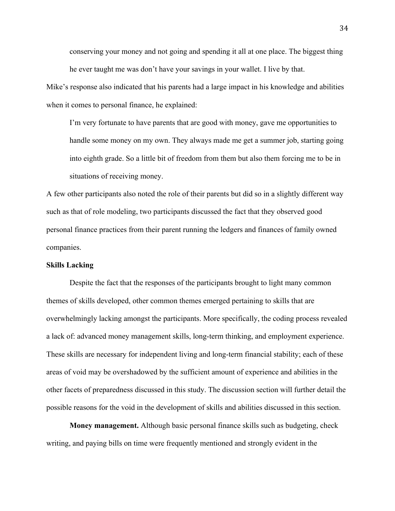conserving your money and not going and spending it all at one place. The biggest thing he ever taught me was don't have your savings in your wallet. I live by that.

Mike's response also indicated that his parents had a large impact in his knowledge and abilities when it comes to personal finance, he explained:

I'm very fortunate to have parents that are good with money, gave me opportunities to handle some money on my own. They always made me get a summer job, starting going into eighth grade. So a little bit of freedom from them but also them forcing me to be in situations of receiving money.

A few other participants also noted the role of their parents but did so in a slightly different way such as that of role modeling, two participants discussed the fact that they observed good personal finance practices from their parent running the ledgers and finances of family owned companies.

### **Skills Lacking**

Despite the fact that the responses of the participants brought to light many common themes of skills developed, other common themes emerged pertaining to skills that are overwhelmingly lacking amongst the participants. More specifically, the coding process revealed a lack of: advanced money management skills, long-term thinking, and employment experience. These skills are necessary for independent living and long-term financial stability; each of these areas of void may be overshadowed by the sufficient amount of experience and abilities in the other facets of preparedness discussed in this study. The discussion section will further detail the possible reasons for the void in the development of skills and abilities discussed in this section.

**Money management.** Although basic personal finance skills such as budgeting, check writing, and paying bills on time were frequently mentioned and strongly evident in the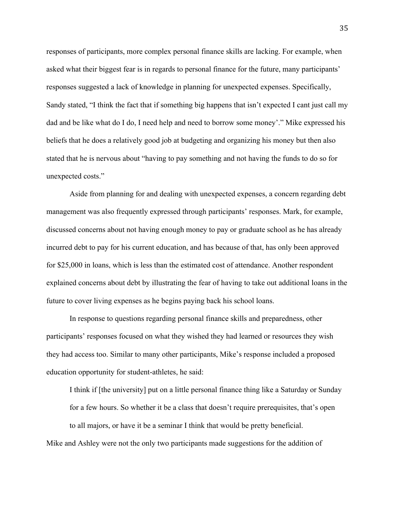responses of participants, more complex personal finance skills are lacking. For example, when asked what their biggest fear is in regards to personal finance for the future, many participants' responses suggested a lack of knowledge in planning for unexpected expenses. Specifically, Sandy stated, "I think the fact that if something big happens that isn't expected I cant just call my dad and be like what do I do, I need help and need to borrow some money'." Mike expressed his beliefs that he does a relatively good job at budgeting and organizing his money but then also stated that he is nervous about "having to pay something and not having the funds to do so for unexpected costs."

Aside from planning for and dealing with unexpected expenses, a concern regarding debt management was also frequently expressed through participants' responses. Mark, for example, discussed concerns about not having enough money to pay or graduate school as he has already incurred debt to pay for his current education, and has because of that, has only been approved for \$25,000 in loans, which is less than the estimated cost of attendance. Another respondent explained concerns about debt by illustrating the fear of having to take out additional loans in the future to cover living expenses as he begins paying back his school loans.

In response to questions regarding personal finance skills and preparedness, other participants' responses focused on what they wished they had learned or resources they wish they had access too. Similar to many other participants, Mike's response included a proposed education opportunity for student-athletes, he said:

I think if [the university] put on a little personal finance thing like a Saturday or Sunday for a few hours. So whether it be a class that doesn't require prerequisites, that's open to all majors, or have it be a seminar I think that would be pretty beneficial.

Mike and Ashley were not the only two participants made suggestions for the addition of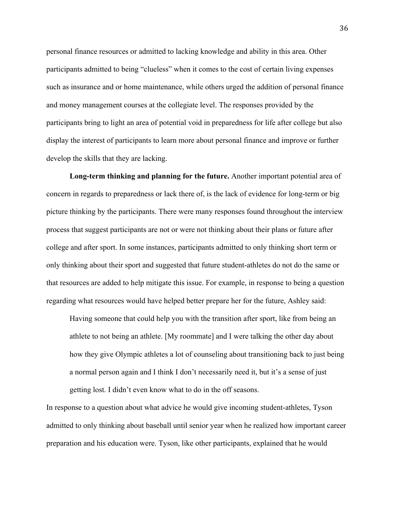personal finance resources or admitted to lacking knowledge and ability in this area. Other participants admitted to being "clueless" when it comes to the cost of certain living expenses such as insurance and or home maintenance, while others urged the addition of personal finance and money management courses at the collegiate level. The responses provided by the participants bring to light an area of potential void in preparedness for life after college but also display the interest of participants to learn more about personal finance and improve or further develop the skills that they are lacking.

**Long-term thinking and planning for the future.** Another important potential area of concern in regards to preparedness or lack there of, is the lack of evidence for long-term or big picture thinking by the participants. There were many responses found throughout the interview process that suggest participants are not or were not thinking about their plans or future after college and after sport. In some instances, participants admitted to only thinking short term or only thinking about their sport and suggested that future student-athletes do not do the same or that resources are added to help mitigate this issue. For example, in response to being a question regarding what resources would have helped better prepare her for the future, Ashley said:

Having someone that could help you with the transition after sport, like from being an athlete to not being an athlete. [My roommate] and I were talking the other day about how they give Olympic athletes a lot of counseling about transitioning back to just being a normal person again and I think I don't necessarily need it, but it's a sense of just getting lost. I didn't even know what to do in the off seasons.

In response to a question about what advice he would give incoming student-athletes, Tyson admitted to only thinking about baseball until senior year when he realized how important career preparation and his education were. Tyson, like other participants, explained that he would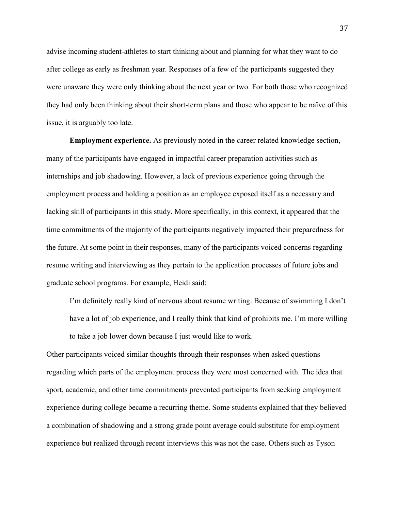advise incoming student-athletes to start thinking about and planning for what they want to do after college as early as freshman year. Responses of a few of the participants suggested they were unaware they were only thinking about the next year or two. For both those who recognized they had only been thinking about their short-term plans and those who appear to be naïve of this issue, it is arguably too late.

**Employment experience.** As previously noted in the career related knowledge section, many of the participants have engaged in impactful career preparation activities such as internships and job shadowing. However, a lack of previous experience going through the employment process and holding a position as an employee exposed itself as a necessary and lacking skill of participants in this study. More specifically, in this context, it appeared that the time commitments of the majority of the participants negatively impacted their preparedness for the future. At some point in their responses, many of the participants voiced concerns regarding resume writing and interviewing as they pertain to the application processes of future jobs and graduate school programs. For example, Heidi said:

I'm definitely really kind of nervous about resume writing. Because of swimming I don't have a lot of job experience, and I really think that kind of prohibits me. I'm more willing to take a job lower down because I just would like to work.

Other participants voiced similar thoughts through their responses when asked questions regarding which parts of the employment process they were most concerned with. The idea that sport, academic, and other time commitments prevented participants from seeking employment experience during college became a recurring theme. Some students explained that they believed a combination of shadowing and a strong grade point average could substitute for employment experience but realized through recent interviews this was not the case. Others such as Tyson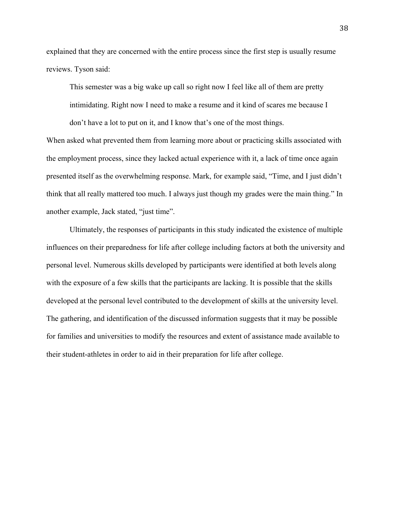explained that they are concerned with the entire process since the first step is usually resume reviews. Tyson said:

This semester was a big wake up call so right now I feel like all of them are pretty intimidating. Right now I need to make a resume and it kind of scares me because I don't have a lot to put on it, and I know that's one of the most things.

When asked what prevented them from learning more about or practicing skills associated with the employment process, since they lacked actual experience with it, a lack of time once again presented itself as the overwhelming response. Mark, for example said, "Time, and I just didn't think that all really mattered too much. I always just though my grades were the main thing." In another example, Jack stated, "just time".

Ultimately, the responses of participants in this study indicated the existence of multiple influences on their preparedness for life after college including factors at both the university and personal level. Numerous skills developed by participants were identified at both levels along with the exposure of a few skills that the participants are lacking. It is possible that the skills developed at the personal level contributed to the development of skills at the university level. The gathering, and identification of the discussed information suggests that it may be possible for families and universities to modify the resources and extent of assistance made available to their student-athletes in order to aid in their preparation for life after college.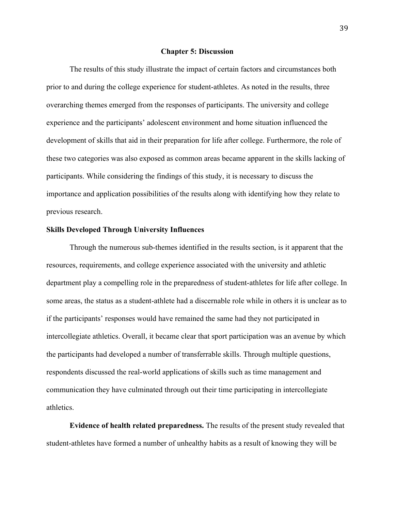#### **Chapter 5: Discussion**

The results of this study illustrate the impact of certain factors and circumstances both prior to and during the college experience for student-athletes. As noted in the results, three overarching themes emerged from the responses of participants. The university and college experience and the participants' adolescent environment and home situation influenced the development of skills that aid in their preparation for life after college. Furthermore, the role of these two categories was also exposed as common areas became apparent in the skills lacking of participants. While considering the findings of this study, it is necessary to discuss the importance and application possibilities of the results along with identifying how they relate to previous research.

#### **Skills Developed Through University Influences**

Through the numerous sub-themes identified in the results section, is it apparent that the resources, requirements, and college experience associated with the university and athletic department play a compelling role in the preparedness of student-athletes for life after college. In some areas, the status as a student-athlete had a discernable role while in others it is unclear as to if the participants' responses would have remained the same had they not participated in intercollegiate athletics. Overall, it became clear that sport participation was an avenue by which the participants had developed a number of transferrable skills. Through multiple questions, respondents discussed the real-world applications of skills such as time management and communication they have culminated through out their time participating in intercollegiate athletics.

**Evidence of health related preparedness.** The results of the present study revealed that student-athletes have formed a number of unhealthy habits as a result of knowing they will be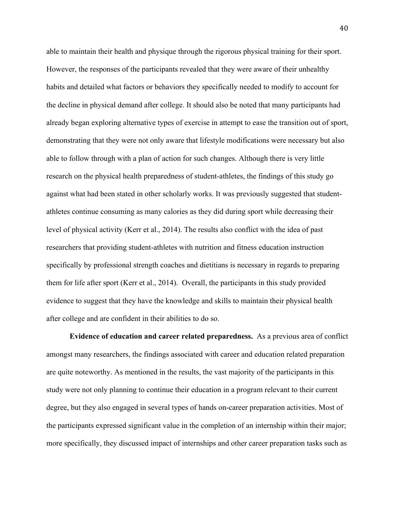able to maintain their health and physique through the rigorous physical training for their sport. However, the responses of the participants revealed that they were aware of their unhealthy habits and detailed what factors or behaviors they specifically needed to modify to account for the decline in physical demand after college. It should also be noted that many participants had already began exploring alternative types of exercise in attempt to ease the transition out of sport, demonstrating that they were not only aware that lifestyle modifications were necessary but also able to follow through with a plan of action for such changes. Although there is very little research on the physical health preparedness of student-athletes, the findings of this study go against what had been stated in other scholarly works. It was previously suggested that studentathletes continue consuming as many calories as they did during sport while decreasing their level of physical activity (Kerr et al., 2014). The results also conflict with the idea of past researchers that providing student-athletes with nutrition and fitness education instruction specifically by professional strength coaches and dietitians is necessary in regards to preparing them for life after sport (Kerr et al., 2014). Overall, the participants in this study provided evidence to suggest that they have the knowledge and skills to maintain their physical health after college and are confident in their abilities to do so.

**Evidence of education and career related preparedness.** As a previous area of conflict amongst many researchers, the findings associated with career and education related preparation are quite noteworthy. As mentioned in the results, the vast majority of the participants in this study were not only planning to continue their education in a program relevant to their current degree, but they also engaged in several types of hands on-career preparation activities. Most of the participants expressed significant value in the completion of an internship within their major; more specifically, they discussed impact of internships and other career preparation tasks such as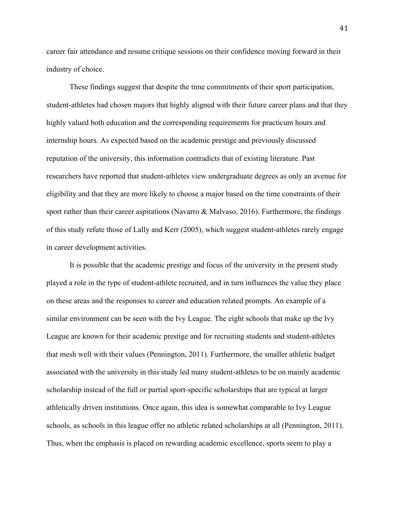career fair attendance and resume critique sessions on their confidence moving forward in their industry of choice.

These findings suggest that despite the time commitments of their sport participation, student-athletes had chosen majors that highly aligned with their future career plans and that they highly valued both education and the corresponding requirements for practicum hours and internship hours. As expected based on the academic prestige and previously discussed reputation of the university, this information contradicts that of existing literature. Past researchers have reported that student-athletes view undergraduate degrees as only an avenue for eligibility and that they are more likely to choose a major based on the time constraints of their sport rather than their career aspirations (Navarro & Malvaso, 2016). Furthermore, the findings of this study refute those of Lally and Kerr (2005), which suggest student-athletes rarely engage in career development activities.

It is possible that the academic prestige and focus of the university in the present study played a role in the type of student-athlete recruited, and in turn influences the value they place on these areas and the responses to career and education related prompts. An example of a similar environment can be seen with the Ivy League. The eight schools that make up the Ivy League are known for their academic prestige and for recruiting students and student-athletes that mesh well with their values (Pennington, 2011). Furthermore, the smaller athletic budget associated with the university in this study led many student-athletes to be on mainly academic scholarship instead of the full or partial sport-specific scholarships that are typical at larger athletically driven institutions. Once again, this idea is somewhat comparable to Ivy League schools, as schools in this league offer no athletic related scholarships at all (Pennington, 2011). Thus, when the emphasis is placed on rewarding academic excellence, sports seem to play a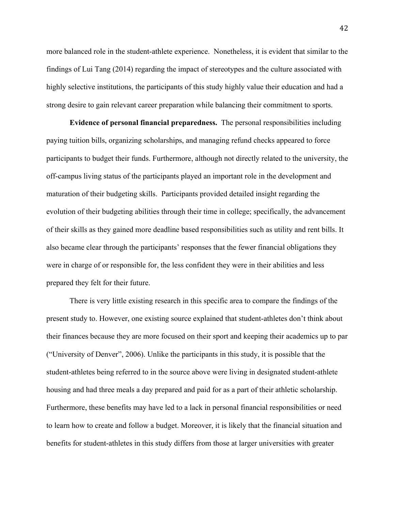more balanced role in the student-athlete experience. Nonetheless, it is evident that similar to the findings of Lui Tang (2014) regarding the impact of stereotypes and the culture associated with highly selective institutions, the participants of this study highly value their education and had a strong desire to gain relevant career preparation while balancing their commitment to sports.

**Evidence of personal financial preparedness.** The personal responsibilities including paying tuition bills, organizing scholarships, and managing refund checks appeared to force participants to budget their funds. Furthermore, although not directly related to the university, the off-campus living status of the participants played an important role in the development and maturation of their budgeting skills. Participants provided detailed insight regarding the evolution of their budgeting abilities through their time in college; specifically, the advancement of their skills as they gained more deadline based responsibilities such as utility and rent bills. It also became clear through the participants' responses that the fewer financial obligations they were in charge of or responsible for, the less confident they were in their abilities and less prepared they felt for their future.

There is very little existing research in this specific area to compare the findings of the present study to. However, one existing source explained that student-athletes don't think about their finances because they are more focused on their sport and keeping their academics up to par ("University of Denver", 2006). Unlike the participants in this study, it is possible that the student-athletes being referred to in the source above were living in designated student-athlete housing and had three meals a day prepared and paid for as a part of their athletic scholarship. Furthermore, these benefits may have led to a lack in personal financial responsibilities or need to learn how to create and follow a budget. Moreover, it is likely that the financial situation and benefits for student-athletes in this study differs from those at larger universities with greater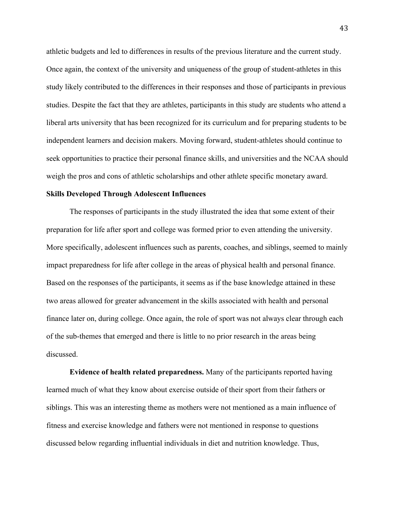athletic budgets and led to differences in results of the previous literature and the current study. Once again, the context of the university and uniqueness of the group of student-athletes in this study likely contributed to the differences in their responses and those of participants in previous studies. Despite the fact that they are athletes, participants in this study are students who attend a liberal arts university that has been recognized for its curriculum and for preparing students to be independent learners and decision makers. Moving forward, student-athletes should continue to seek opportunities to practice their personal finance skills, and universities and the NCAA should weigh the pros and cons of athletic scholarships and other athlete specific monetary award.

#### **Skills Developed Through Adolescent Influences**

The responses of participants in the study illustrated the idea that some extent of their preparation for life after sport and college was formed prior to even attending the university. More specifically, adolescent influences such as parents, coaches, and siblings, seemed to mainly impact preparedness for life after college in the areas of physical health and personal finance. Based on the responses of the participants, it seems as if the base knowledge attained in these two areas allowed for greater advancement in the skills associated with health and personal finance later on, during college. Once again, the role of sport was not always clear through each of the sub-themes that emerged and there is little to no prior research in the areas being discussed.

**Evidence of health related preparedness.** Many of the participants reported having learned much of what they know about exercise outside of their sport from their fathers or siblings. This was an interesting theme as mothers were not mentioned as a main influence of fitness and exercise knowledge and fathers were not mentioned in response to questions discussed below regarding influential individuals in diet and nutrition knowledge. Thus,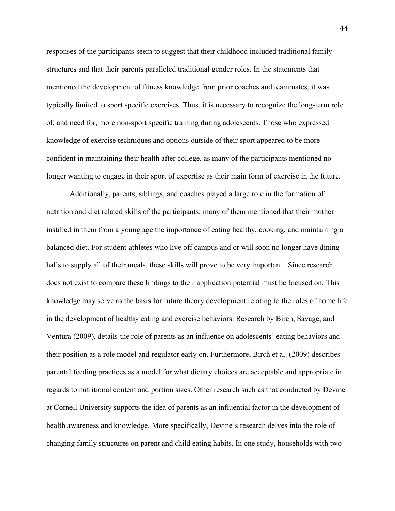responses of the participants seem to suggest that their childhood included traditional family structures and that their parents paralleled traditional gender roles. In the statements that mentioned the development of fitness knowledge from prior coaches and teammates, it was typically limited to sport specific exercises. Thus, it is necessary to recognize the long-term role of, and need for, more non-sport specific training during adolescents. Those who expressed knowledge of exercise techniques and options outside of their sport appeared to be more confident in maintaining their health after college, as many of the participants mentioned no longer wanting to engage in their sport of expertise as their main form of exercise in the future.

Additionally, parents, siblings, and coaches played a large role in the formation of nutrition and diet related skills of the participants; many of them mentioned that their mother instilled in them from a young age the importance of eating healthy, cooking, and maintaining a balanced diet. For student-athletes who live off campus and or will soon no longer have dining halls to supply all of their meals, these skills will prove to be very important. Since research does not exist to compare these findings to their application potential must be focused on. This knowledge may serve as the basis for future theory development relating to the roles of home life in the development of healthy eating and exercise behaviors. Research by Birch, Savage, and Ventura (2009), details the role of parents as an influence on adolescents' eating behaviors and their position as a role model and regulator early on. Furthermore, Birch et al. (2009) describes parental feeding practices as a model for what dietary choices are acceptable and appropriate in regards to nutritional content and portion sizes. Other research such as that conducted by Devine at Cornell University supports the idea of parents as an influential factor in the development of health awareness and knowledge. More specifically, Devine's research delves into the role of changing family structures on parent and child eating habits. In one study, households with two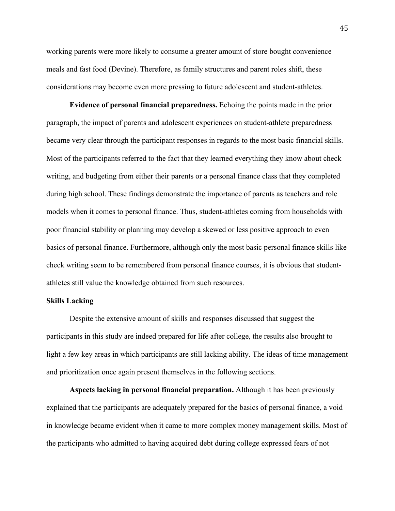working parents were more likely to consume a greater amount of store bought convenience meals and fast food (Devine). Therefore, as family structures and parent roles shift, these considerations may become even more pressing to future adolescent and student-athletes.

**Evidence of personal financial preparedness.** Echoing the points made in the prior paragraph, the impact of parents and adolescent experiences on student-athlete preparedness became very clear through the participant responses in regards to the most basic financial skills. Most of the participants referred to the fact that they learned everything they know about check writing, and budgeting from either their parents or a personal finance class that they completed during high school. These findings demonstrate the importance of parents as teachers and role models when it comes to personal finance. Thus, student-athletes coming from households with poor financial stability or planning may develop a skewed or less positive approach to even basics of personal finance. Furthermore, although only the most basic personal finance skills like check writing seem to be remembered from personal finance courses, it is obvious that studentathletes still value the knowledge obtained from such resources.

### **Skills Lacking**

Despite the extensive amount of skills and responses discussed that suggest the participants in this study are indeed prepared for life after college, the results also brought to light a few key areas in which participants are still lacking ability. The ideas of time management and prioritization once again present themselves in the following sections.

**Aspects lacking in personal financial preparation.** Although it has been previously explained that the participants are adequately prepared for the basics of personal finance, a void in knowledge became evident when it came to more complex money management skills. Most of the participants who admitted to having acquired debt during college expressed fears of not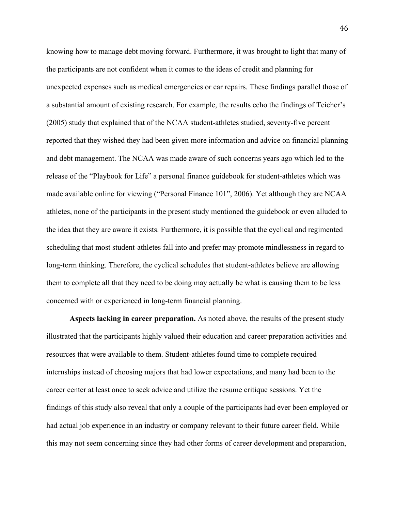knowing how to manage debt moving forward. Furthermore, it was brought to light that many of the participants are not confident when it comes to the ideas of credit and planning for unexpected expenses such as medical emergencies or car repairs. These findings parallel those of a substantial amount of existing research. For example, the results echo the findings of Teicher's (2005) study that explained that of the NCAA student-athletes studied, seventy-five percent reported that they wished they had been given more information and advice on financial planning and debt management. The NCAA was made aware of such concerns years ago which led to the release of the "Playbook for Life" a personal finance guidebook for student-athletes which was made available online for viewing ("Personal Finance 101", 2006). Yet although they are NCAA athletes, none of the participants in the present study mentioned the guidebook or even alluded to the idea that they are aware it exists. Furthermore, it is possible that the cyclical and regimented scheduling that most student-athletes fall into and prefer may promote mindlessness in regard to long-term thinking. Therefore, the cyclical schedules that student-athletes believe are allowing them to complete all that they need to be doing may actually be what is causing them to be less concerned with or experienced in long-term financial planning.

**Aspects lacking in career preparation.** As noted above, the results of the present study illustrated that the participants highly valued their education and career preparation activities and resources that were available to them. Student-athletes found time to complete required internships instead of choosing majors that had lower expectations, and many had been to the career center at least once to seek advice and utilize the resume critique sessions. Yet the findings of this study also reveal that only a couple of the participants had ever been employed or had actual job experience in an industry or company relevant to their future career field. While this may not seem concerning since they had other forms of career development and preparation,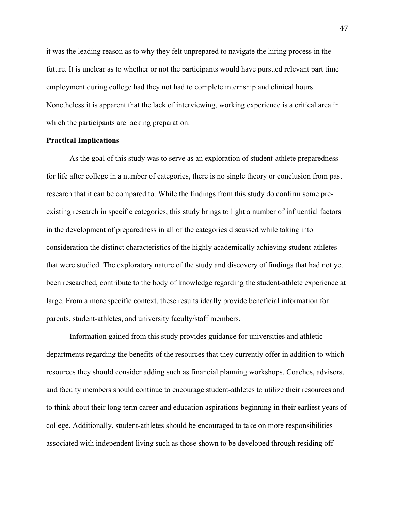it was the leading reason as to why they felt unprepared to navigate the hiring process in the future. It is unclear as to whether or not the participants would have pursued relevant part time employment during college had they not had to complete internship and clinical hours. Nonetheless it is apparent that the lack of interviewing, working experience is a critical area in which the participants are lacking preparation.

### **Practical Implications**

As the goal of this study was to serve as an exploration of student-athlete preparedness for life after college in a number of categories, there is no single theory or conclusion from past research that it can be compared to. While the findings from this study do confirm some preexisting research in specific categories, this study brings to light a number of influential factors in the development of preparedness in all of the categories discussed while taking into consideration the distinct characteristics of the highly academically achieving student-athletes that were studied. The exploratory nature of the study and discovery of findings that had not yet been researched, contribute to the body of knowledge regarding the student-athlete experience at large. From a more specific context, these results ideally provide beneficial information for parents, student-athletes, and university faculty/staff members.

Information gained from this study provides guidance for universities and athletic departments regarding the benefits of the resources that they currently offer in addition to which resources they should consider adding such as financial planning workshops. Coaches, advisors, and faculty members should continue to encourage student-athletes to utilize their resources and to think about their long term career and education aspirations beginning in their earliest years of college. Additionally, student-athletes should be encouraged to take on more responsibilities associated with independent living such as those shown to be developed through residing off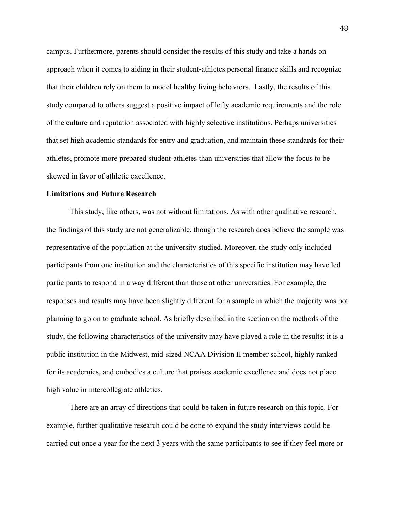campus. Furthermore, parents should consider the results of this study and take a hands on approach when it comes to aiding in their student-athletes personal finance skills and recognize that their children rely on them to model healthy living behaviors. Lastly, the results of this study compared to others suggest a positive impact of lofty academic requirements and the role of the culture and reputation associated with highly selective institutions. Perhaps universities that set high academic standards for entry and graduation, and maintain these standards for their athletes, promote more prepared student-athletes than universities that allow the focus to be skewed in favor of athletic excellence.

#### **Limitations and Future Research**

This study, like others, was not without limitations. As with other qualitative research, the findings of this study are not generalizable, though the research does believe the sample was representative of the population at the university studied. Moreover, the study only included participants from one institution and the characteristics of this specific institution may have led participants to respond in a way different than those at other universities. For example, the responses and results may have been slightly different for a sample in which the majority was not planning to go on to graduate school. As briefly described in the section on the methods of the study, the following characteristics of the university may have played a role in the results: it is a public institution in the Midwest, mid-sized NCAA Division II member school, highly ranked for its academics, and embodies a culture that praises academic excellence and does not place high value in intercollegiate athletics.

There are an array of directions that could be taken in future research on this topic. For example, further qualitative research could be done to expand the study interviews could be carried out once a year for the next 3 years with the same participants to see if they feel more or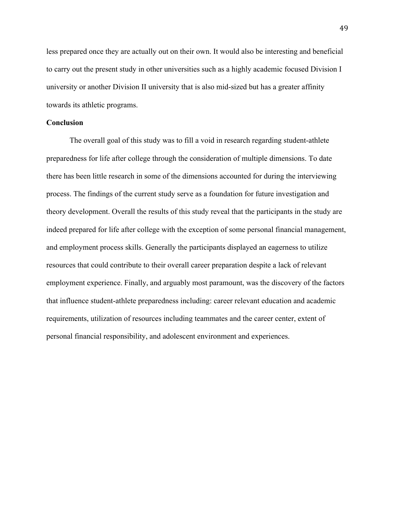less prepared once they are actually out on their own. It would also be interesting and beneficial to carry out the present study in other universities such as a highly academic focused Division I university or another Division II university that is also mid-sized but has a greater affinity towards its athletic programs.

#### **Conclusion**

The overall goal of this study was to fill a void in research regarding student-athlete preparedness for life after college through the consideration of multiple dimensions. To date there has been little research in some of the dimensions accounted for during the interviewing process. The findings of the current study serve as a foundation for future investigation and theory development. Overall the results of this study reveal that the participants in the study are indeed prepared for life after college with the exception of some personal financial management, and employment process skills. Generally the participants displayed an eagerness to utilize resources that could contribute to their overall career preparation despite a lack of relevant employment experience. Finally, and arguably most paramount, was the discovery of the factors that influence student-athlete preparedness including: career relevant education and academic requirements, utilization of resources including teammates and the career center, extent of personal financial responsibility, and adolescent environment and experiences.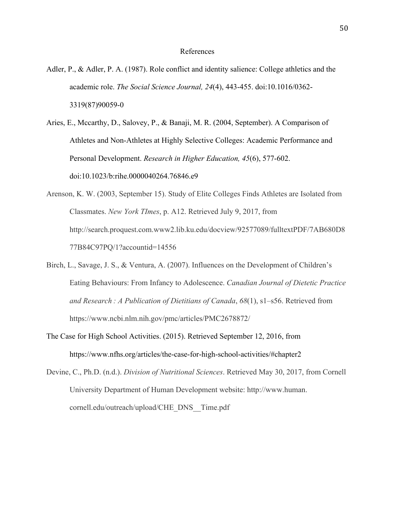#### References

- Adler, P., & Adler, P. A. (1987). Role conflict and identity salience: College athletics and the academic role. *The Social Science Journal, 24*(4), 443-455. doi:10.1016/0362- 3319(87)90059-0
- Aries, E., Mccarthy, D., Salovey, P., & Banaji, M. R. (2004, September). A Comparison of Athletes and Non-Athletes at Highly Selective Colleges: Academic Performance and Personal Development. *Research in Higher Education, 45*(6), 577-602. doi:10.1023/b:rihe.0000040264.76846.e9
- Arenson, K. W. (2003, September 15). Study of Elite Colleges Finds Athletes are Isolated from Classmates. *New York TImes*, p. A12. Retrieved July 9, 2017, from http://search.proquest.com.www2.lib.ku.edu/docview/92577089/fulltextPDF/7AB680D8 77B84C97PQ/1?accountid=14556
- Birch, L., Savage, J. S., & Ventura, A. (2007). Influences on the Development of Children's Eating Behaviours: From Infancy to Adolescence. *Canadian Journal of Dietetic Practice and Research : A Publication of Dietitians of Canada*, *68*(1), s1–s56. Retrieved from https://www.ncbi.nlm.nih.gov/pmc/articles/PMC2678872/
- The Case for High School Activities. (2015). Retrieved September 12, 2016, from https://www.nfhs.org/articles/the-case-for-high-school-activities/#chapter2
- Devine, C., Ph.D. (n.d.). *Division of Nutritional Sciences*. Retrieved May 30, 2017, from Cornell University Department of Human Development website: http://www.human. cornell.edu/outreach/upload/CHE\_DNS\_\_Time.pdf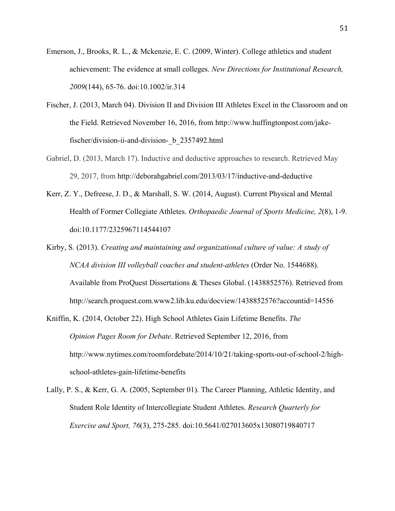- Emerson, J., Brooks, R. L., & Mckenzie, E. C. (2009, Winter). College athletics and student achievement: The evidence at small colleges. *New Directions for Institutional Research, 2009*(144), 65-76. doi:10.1002/ir.314
- Fischer, J. (2013, March 04). Division II and Division III Athletes Excel in the Classroom and on the Field. Retrieved November 16, 2016, from http://www.huffingtonpost.com/jakefischer/division-ii-and-division- b 2357492.html
- Gabriel, D. (2013, March 17). Inductive and deductive approaches to research. Retrieved May 29, 2017, from http://deborahgabriel.com/2013/03/17/inductive-and-deductive
- Kerr, Z. Y., Defreese, J. D., & Marshall, S. W. (2014, August). Current Physical and Mental Health of Former Collegiate Athletes. *Orthopaedic Journal of Sports Medicine, 2*(8), 1-9. doi:10.1177/2325967114544107
- Kirby, S. (2013). *Creating and maintaining and organizational culture of value: A study of NCAA division III volleyball coaches and student-athletes* (Order No. 1544688). Available from ProQuest Dissertations & Theses Global. (1438852576). Retrieved from http://search.proquest.com.www2.lib.ku.edu/docview/1438852576?accountid=14556
- Kniffin, K. (2014, October 22). High School Athletes Gain Lifetime Benefits. *The Opinion Pages Room for Debate*. Retrieved September 12, 2016, from http://www.nytimes.com/roomfordebate/2014/10/21/taking-sports-out-of-school-2/highschool-athletes-gain-lifetime-benefits
- Lally, P. S., & Kerr, G. A. (2005, September 01). The Career Planning, Athletic Identity, and Student Role Identity of Intercollegiate Student Athletes. *Research Quarterly for Exercise and Sport, 76*(3), 275-285. doi:10.5641/027013605x13080719840717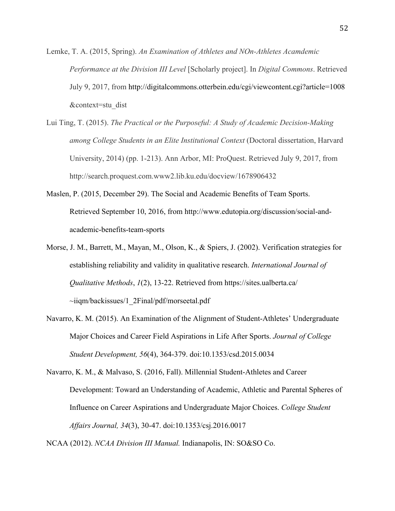- Lemke, T. A. (2015, Spring). *An Examination of Athletes and NOn-Athletes Acamdemic Performance at the Division III Level* [Scholarly project]. In *Digital Commons*. Retrieved July 9, 2017, from http://digitalcommons.otterbein.edu/cgi/viewcontent.cgi?article=1008 &context=stu\_dist
- Lui Ting, T. (2015). *The Practical or the Purposeful: A Study of Academic Decision-Making among College Students in an Elite Institutional Context* (Doctoral dissertation, Harvard University, 2014) (pp. 1-213). Ann Arbor, MI: ProQuest. Retrieved July 9, 2017, from http://search.proquest.com.www2.lib.ku.edu/docview/1678906432
- Maslen, P. (2015, December 29). The Social and Academic Benefits of Team Sports. Retrieved September 10, 2016, from http://www.edutopia.org/discussion/social-andacademic-benefits-team-sports
- Morse, J. M., Barrett, M., Mayan, M., Olson, K., & Spiers, J. (2002). Verification strategies for establishing reliability and validity in qualitative research. *International Journal of Qualitative Methods*, *1*(2), 13-22. Retrieved from https://sites.ualberta.ca/  $\sim$ iiqm/backissues/1 2Final/pdf/morseetal.pdf
- Navarro, K. M. (2015). An Examination of the Alignment of Student-Athletes' Undergraduate Major Choices and Career Field Aspirations in Life After Sports. *Journal of College Student Development, 56*(4), 364-379. doi:10.1353/csd.2015.0034

Navarro, K. M., & Malvaso, S. (2016, Fall). Millennial Student-Athletes and Career Development: Toward an Understanding of Academic, Athletic and Parental Spheres of Influence on Career Aspirations and Undergraduate Major Choices. *College Student Affairs Journal, 34*(3), 30-47. doi:10.1353/csj.2016.0017

NCAA (2012). *NCAA Division III Manual.* Indianapolis, IN: SO&SO Co.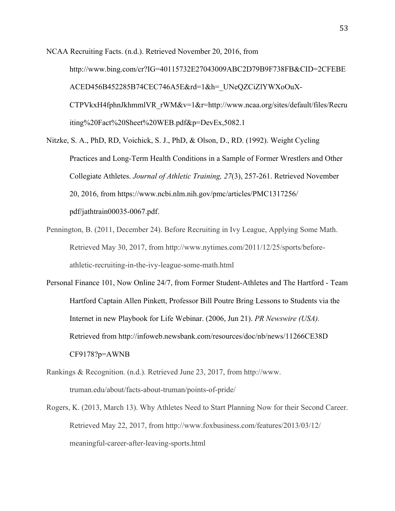NCAA Recruiting Facts. (n.d.). Retrieved November 20, 2016, from http://www.bing.com/cr?IG=40115732E27043009ABC2D79B9F738FB&CID=2CFEBE ACED456B452285B74CEC746A5E&rd=1&h=\_UNeQZCiZlYWXoOuX-CTPVkxH4fphnJkhmmlVR\_rWM&v=1&r=http://www.ncaa.org/sites/default/files/Recru iting%20Fact%20Sheet%20WEB.pdf&p=DevEx,5082.1

- Nitzke, S. A., PhD, RD, Voichick, S. J., PhD, & Olson, D., RD. (1992). Weight Cycling Practices and Long-Term Health Conditions in a Sample of Former Wrestlers and Other Collegiate Athletes. *Journal of Athletic Training, 27*(3), 257-261. Retrieved November 20, 2016, from https://www.ncbi.nlm.nih.gov/pmc/articles/PMC1317256/ pdf/jathtrain00035-0067.pdf.
- Pennington, B. (2011, December 24). Before Recruiting in Ivy League, Applying Some Math. Retrieved May 30, 2017, from http://www.nytimes.com/2011/12/25/sports/beforeathletic-recruiting-in-the-ivy-league-some-math.html
- Personal Finance 101, Now Online 24/7, from Former Student-Athletes and The Hartford Team Hartford Captain Allen Pinkett, Professor Bill Poutre Bring Lessons to Students via the Internet in new Playbook for Life Webinar. (2006, Jun 21). *PR Newswire (USA).* Retrieved from http://infoweb.newsbank.com/resources/doc/nb/news/11266CE38D CF9178?p=AWNB
- Rankings & Recognition. (n.d.). Retrieved June 23, 2017, from http://www. truman.edu/about/facts-about-truman/points-of-pride/
- Rogers, K. (2013, March 13). Why Athletes Need to Start Planning Now for their Second Career. Retrieved May 22, 2017, from http://www.foxbusiness.com/features/2013/03/12/ meaningful-career-after-leaving-sports.html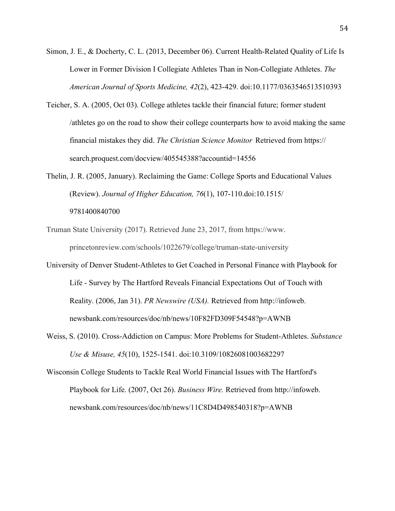- Simon, J. E., & Docherty, C. L. (2013, December 06). Current Health-Related Quality of Life Is Lower in Former Division I Collegiate Athletes Than in Non-Collegiate Athletes. *The American Journal of Sports Medicine, 42*(2), 423-429. doi:10.1177/0363546513510393
- Teicher, S. A. (2005, Oct 03). College athletes tackle their financial future; former student /athletes go on the road to show their college counterparts how to avoid making the same financial mistakes they did. *The Christian Science Monitor* Retrieved from https:// search.proquest.com/docview/405545388?accountid=14556
- Thelin, J. R. (2005, January). Reclaiming the Game: College Sports and Educational Values (Review). *Journal of Higher Education, 76*(1), 107-110.doi:10.1515/ 9781400840700
- Truman State University (2017). Retrieved June 23, 2017, from https://www. princetonreview.com/schools/1022679/college/truman-state-university
- University of Denver Student-Athletes to Get Coached in Personal Finance with Playbook for Life - Survey by The Hartford Reveals Financial Expectations Out of Touch with Reality. (2006, Jan 31). *PR Newswire (USA).* Retrieved from http://infoweb. newsbank.com/resources/doc/nb/news/10F82FD309F54548?p=AWNB
- Weiss, S. (2010). Cross-Addiction on Campus: More Problems for Student-Athletes. *Substance Use & Misuse, 45*(10), 1525-1541. doi:10.3109/10826081003682297

Wisconsin College Students to Tackle Real World Financial Issues with The Hartford's Playbook for Life. (2007, Oct 26). *Business Wire.* Retrieved from http://infoweb. newsbank.com/resources/doc/nb/news/11C8D4D498540318?p=AWNB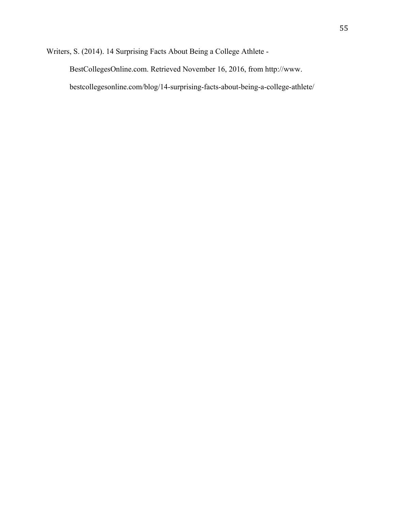Writers, S. (2014). 14 Surprising Facts About Being a College Athlete -

BestCollegesOnline.com. Retrieved November 16, 2016, from http://www.

bestcollegesonline.com/blog/14-surprising-facts-about-being-a-college-athlete/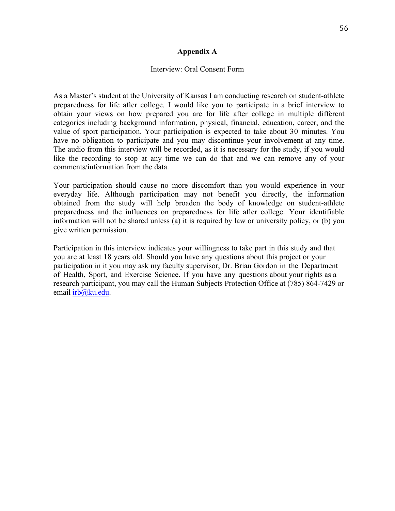### **Appendix A**

#### Interview: Oral Consent Form

As a Master's student at the University of Kansas I am conducting research on student-athlete preparedness for life after college. I would like you to participate in a brief interview to obtain your views on how prepared you are for life after college in multiple different categories including background information, physical, financial, education, career, and the value of sport participation. Your participation is expected to take about 30 minutes. You have no obligation to participate and you may discontinue your involvement at any time. The audio from this interview will be recorded, as it is necessary for the study, if you would like the recording to stop at any time we can do that and we can remove any of your comments/information from the data.

Your participation should cause no more discomfort than you would experience in your everyday life. Although participation may not benefit you directly, the information obtained from the study will help broaden the body of knowledge on student-athlete preparedness and the influences on preparedness for life after college. Your identifiable information will not be shared unless (a) it is required by law or university policy, or (b) you give written permission.

Participation in this interview indicates your willingness to take part in this study and that you are at least 18 years old. Should you have any questions about this project or your participation in it you may ask my faculty supervisor, Dr. Brian Gordon in the Department of Health, Sport, and Exercise Science. If you have any questions about your rights as a research participant, you may call the Human Subjects Protection Office at (785) 864-7429 or email irb@ku.edu.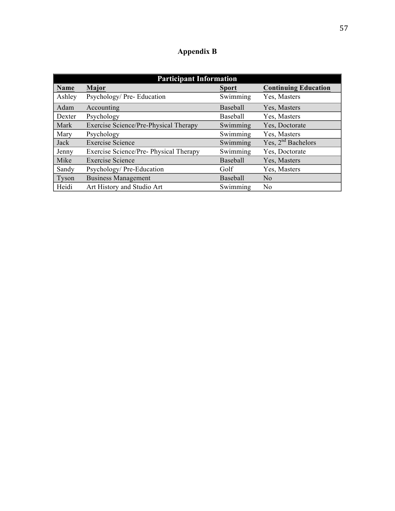# **Appendix B**

| <b>Participant Information</b> |                                        |                 |                             |  |
|--------------------------------|----------------------------------------|-----------------|-----------------------------|--|
| Name                           | Major                                  | <b>Sport</b>    | <b>Continuing Education</b> |  |
| Ashley                         | Psychology/ Pre- Education             | Swimming        | Yes, Masters                |  |
| Adam                           | Accounting                             | <b>Baseball</b> | Yes, Masters                |  |
| Dexter                         | Psychology                             | <b>Baseball</b> | Yes, Masters                |  |
| Mark                           | Exercise Science/Pre-Physical Therapy  | Swimming        | Yes, Doctorate              |  |
| Mary                           | Psychology                             | Swimming        | Yes, Masters                |  |
| Jack                           | <b>Exercise Science</b>                | Swimming        | Yes, $2nd$ Bachelors        |  |
| Jenny                          | Exercise Science/Pre- Physical Therapy | Swimming        | Yes, Doctorate              |  |
| Mike                           | <b>Exercise Science</b>                | Baseball        | Yes, Masters                |  |
| Sandy                          | Psychology/Pre-Education               | Golf            | Yes, Masters                |  |
| Tyson                          | <b>Business Management</b>             | <b>Baseball</b> | N <sub>0</sub>              |  |
| Heidi                          | Art History and Studio Art             | Swimming        | N <sub>0</sub>              |  |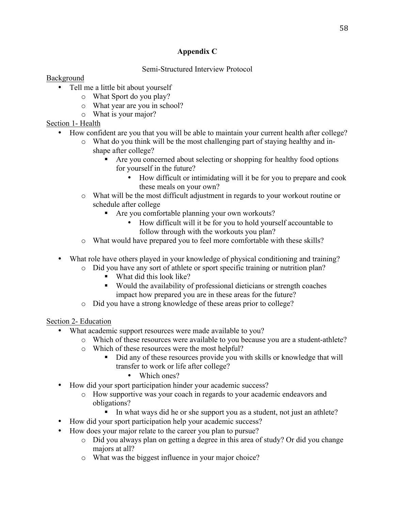# **Appendix C**

# Semi-Structured Interview Protocol

# Background

- Tell me a little bit about yourself
	- o What Sport do you play?
	- o What year are you in school?
	- o What is your major?

Section 1- Health

- How confident are you that you will be able to maintain your current health after college?
	- o What do you think will be the most challenging part of staying healthy and inshape after college?
		- Are you concerned about selecting or shopping for healthy food options for yourself in the future?
			- How difficult or intimidating will it be for you to prepare and cook these meals on your own?
	- o What will be the most difficult adjustment in regards to your workout routine or schedule after college
		- Are you comfortable planning your own workouts?
			- How difficult will it be for you to hold yourself accountable to follow through with the workouts you plan?
	- o What would have prepared you to feel more comfortable with these skills?
- What role have others played in your knowledge of physical conditioning and training?
	- o Did you have any sort of athlete or sport specific training or nutrition plan?
		- What did this look like?
		- Would the availability of professional dieticians or strength coaches impact how prepared you are in these areas for the future?
	- o Did you have a strong knowledge of these areas prior to college?

Section 2- Education

- What academic support resources were made available to you?
	- o Which of these resources were available to you because you are a student-athlete?
	- o Which of these resources were the most helpful?
		- Did any of these resources provide you with skills or knowledge that will transfer to work or life after college?
			- Which ones?
- How did your sport participation hinder your academic success?
	- o How supportive was your coach in regards to your academic endeavors and obligations?
		- In what ways did he or she support you as a student, not just an athlete?
- How did your sport participation help your academic success?
- How does your major relate to the career you plan to pursue?
	- o Did you always plan on getting a degree in this area of study? Or did you change majors at all?
	- o What was the biggest influence in your major choice?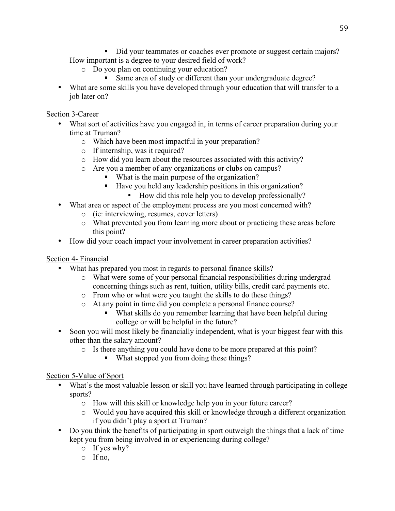• Did your teammates or coaches ever promote or suggest certain majors? How important is a degree to your desired field of work?

- o Do you plan on continuing your education?
	- Same area of study or different than your undergraduate degree?
- What are some skills you have developed through your education that will transfer to a job later on?

# Section 3-Career

- What sort of activities have you engaged in, in terms of career preparation during your time at Truman?
	- o Which have been most impactful in your preparation?
	- o If internship, was it required?
	- o How did you learn about the resources associated with this activity?
	- o Are you a member of any organizations or clubs on campus?
		- What is the main purpose of the organization?
		- Have you held any leadership positions in this organization?
			- How did this role help you to develop professionally?
- What area or aspect of the employment process are you most concerned with?
	- o (ie: interviewing, resumes, cover letters)
	- o What prevented you from learning more about or practicing these areas before this point?
- How did your coach impact your involvement in career preparation activities?

# Section 4- Financial

- What has prepared you most in regards to personal finance skills?
	- o What were some of your personal financial responsibilities during undergrad concerning things such as rent, tuition, utility bills, credit card payments etc.
	- o From who or what were you taught the skills to do these things?
	- o At any point in time did you complete a personal finance course?
		- What skills do you remember learning that have been helpful during college or will be helpful in the future?
- Soon you will most likely be financially independent, what is your biggest fear with this other than the salary amount?
	- o Is there anything you could have done to be more prepared at this point?
		- What stopped you from doing these things?

# Section 5-Value of Sport

- What's the most valuable lesson or skill you have learned through participating in college sports?
	- o How will this skill or knowledge help you in your future career?
	- o Would you have acquired this skill or knowledge through a different organization if you didn't play a sport at Truman?
- Do you think the benefits of participating in sport outweigh the things that a lack of time kept you from being involved in or experiencing during college?
	- o If yes why?
	- o If no,